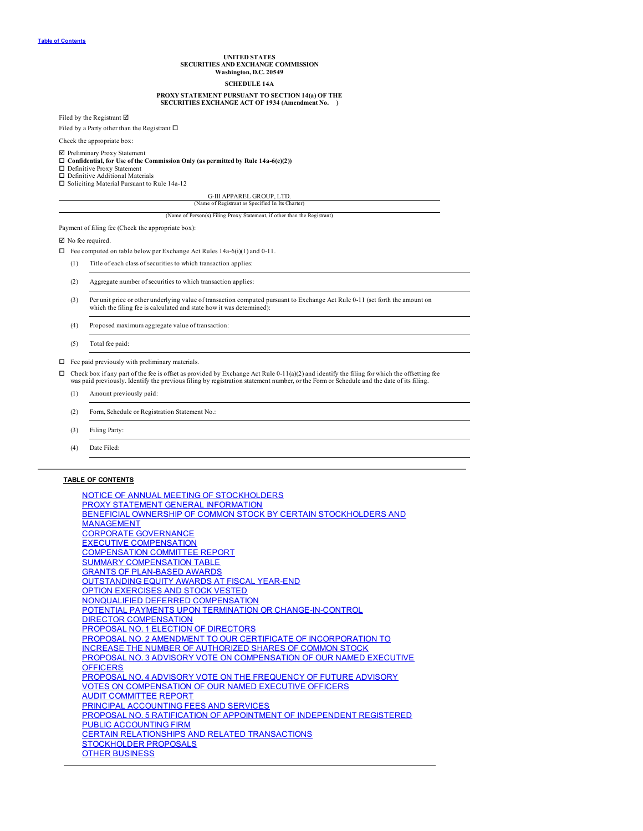## **UNITED STATES SECURITIES AND EXCHANGE COMMISSION Washington, D.C. 20549 SCHEDULE 14A**

## **PROXY STATEMENT PURSUANT TO SECTION 14(a) OF THE**

## **SECURITIES EXCHANGE ACT OF 1934 (Amendment No. )**

<span id="page-0-0"></span>Filed by the Registrant  $\boxtimes$ 

Filed by a Party other than the Registrant  $\Box$ 

Check the appropriate box:

# þ Preliminary Proxy Statement o **Confidential, for Use of the Commission Only (as permitted by Rule 14a-6(e)(2))**

 $\square$  Definitive Proxy Statement

 $\Box$  Definitive Additional Materials<br> $\Box$  Soliciting Material Pursuant to Rule 14a-12

## G-III APPAREL GROUP, LTD.

(Name of Registrant as Specified In Its Charter) (Name of Person(s) Filing Proxy Statement, if other than the Registrant)

Payment of filing fee (Check the appropriate box):

 $\boxtimes$  No fee required.

 $\Box$  Fee computed on table below per Exchange Act Rules 14a-6(i)(1) and 0-11.

(1) Title of each class of securities to which transaction applies:

(2) Aggregate number of securities to which transaction applies:

- (3) Per unit price or other underlying value of transaction computed pursuant to Exchange Act Rule 0-11 (set forth the amount on which the filing fee is calculated and state how it was determined):
- (4) Proposed maximum aggregate value of transaction:
- (5) Total fee paid:

## $\hfill\Box\quad$  Fee paid previously with preliminary materials.

- $\Box$  Check box if any part of the fee is offset as provided by Exchange Act Rule 0-11(a)(2) and identify the filing for which the offsetting fee was paid previously. Identify the previous filing by registration statement number, or the Form or Schedule and the date of its filing.
	- (1) Amount previously paid:
	- (2) Form, Schedule or Registration Statement No.:
	- (3) Filing Party:
	- (4) Date Filed:

## **TABLE OF CONTENTS**

| NOTICE OF ANNUAL MEETING OF STOCKHOLDERS                             |
|----------------------------------------------------------------------|
| PROXY STATEMENT GENERAL INFORMATION                                  |
| BENEFICIAL OWNERSHIP OF COMMON STOCK BY CERTAIN STOCKHOLDERS AND     |
| <b>MANAGEMENT</b>                                                    |
| <b>CORPORATE GOVERNANCE</b>                                          |
| <b>EXECUTIVE COMPENSATION</b>                                        |
| <b>COMPENSATION COMMITTEE REPORT</b>                                 |
| <b>SUMMARY COMPENSATION TABLE</b>                                    |
| <b>GRANTS OF PLAN-BASED AWARDS</b>                                   |
| <b>OUTSTANDING EQUITY AWARDS AT FISCAL YEAR-END</b>                  |
| OPTION EXERCISES AND STOCK VESTED                                    |
| NONQUALIFIED DEFERRED COMPENSATION                                   |
| POTENTIAL PAYMENTS UPON TERMINATION OR CHANGE-IN-CONTROL             |
| <b>DIRECTOR COMPENSATION</b>                                         |
| <b>PROPOSAL NO. 1 ELECTION OF DIRECTORS</b>                          |
| PROPOSAL NO. 2 AMENDMENT TO OUR CERTIFICATE OF INCORPORATION TO      |
| INCREASE THE NUMBER OF AUTHORIZED SHARES OF COMMON STOCK             |
| PROPOSAL NO. 3 ADVISORY VOTE ON COMPENSATION OF OUR NAMED EXECUTIVE  |
| <b>OFFICERS</b>                                                      |
| PROPOSAL NO. 4 ADVISORY VOTE ON THE FREQUENCY OF FUTURE ADVISORY     |
| <b>VOTES ON COMPENSATION OF OUR NAMED EXECUTIVE OFFICERS</b>         |
| <b>AUDIT COMMITTEE REPORT</b>                                        |
| <b>PRINCIPAL ACCOUNTING FEES AND SERVICES</b>                        |
| PROPOSAL NO. 5 RATIFICATION OF APPOINTMENT OF INDEPENDENT REGISTERED |
| <b>PUBLIC ACCOUNTING FIRM</b>                                        |
| <b>CERTAIN RELATIONSHIPS AND RELATED TRANSACTIONS</b>                |
| <b>STOCKHOLDER PROPOSALS</b>                                         |
| <b>OTHER BUSINESS</b>                                                |
|                                                                      |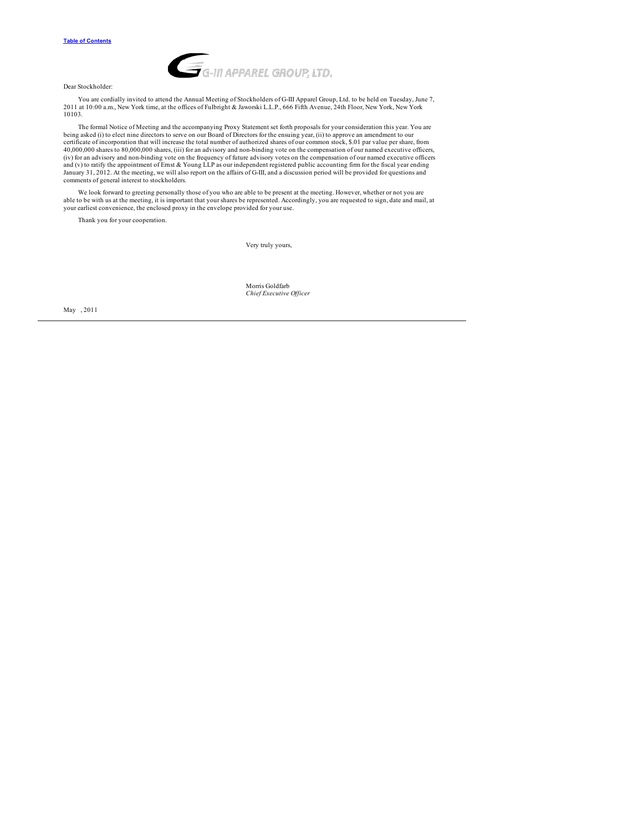

Dear Stockholder:

You are cordially invited to attend the Annual Meeting of Stockholders of G-III Apparel Group, Ltd. to be held on Tuesday, June 7, 2011 at 10:00 a.m., New York time, at the offices of Fulbright & Jaworski L.L.P., 666 Fifth Avenue, 24th Floor, New York, New York 10103.

The formal Notice of Meeting and the accompanying Proxy Statement set forth proposals for your consideration this year. You are being asked (i) to elect nine directors to serve on our Board of Directors for the ensuing year, (ii) to approve an amendment to our<br>certificate of incorporation that will increase the total number of authorized shares of (iv) for an advisory and non-binding vote on the frequency of future advisory votes on the compensation of our named executive officers<br>and (v) to ratify the appointment of Emst & Young LLP as our independent registered pu comments of general interest to stockholders.

We look forward to greeting personally those of you who are able to be present at the meeting. However, whether or not you are<br>able to be with us at the meeting, it is important that your shares be represented. Accordingly

Thank you for your cooperation.

Very truly yours,

Morris Goldfarb *Chief Executive Of icer*

May , 2011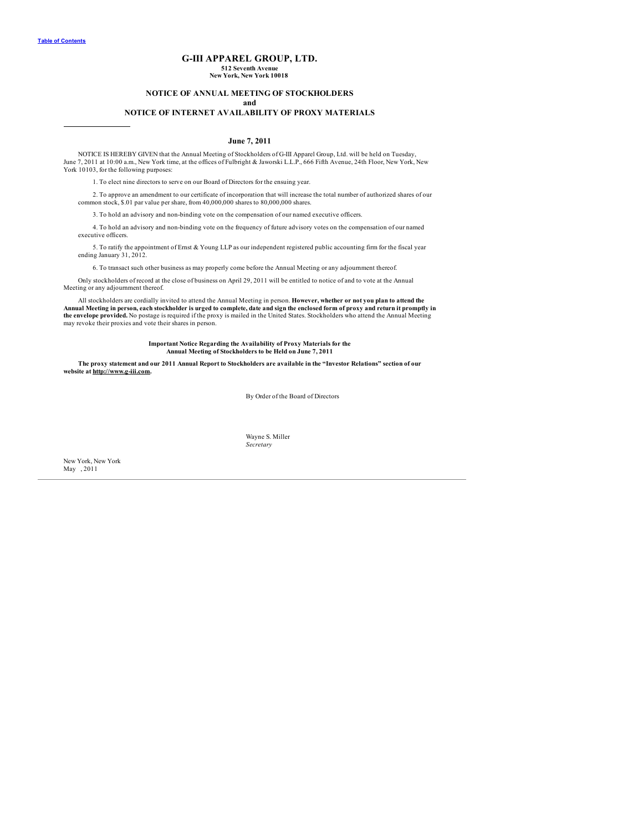# **G-III APPAREL GROUP, LTD.**

**512 Seventh Avenue New York, New York 10018**

## **NOTICE OF ANNUAL MEETING OF STOCKHOLDERS**

**and**

## **NOTICE OF INTERNET AVAILABILITY OF PROXY MATERIALS**

## **June 7, 2011**

<span id="page-2-0"></span>NOTICE IS HEREBY GIVEN that the Annual Meeting of Stockholders of G-III Apparel Group, Ltd. will be held on Tuesday, June 7, 2011 at 10:00 a.m., New York time, at the offices of Fulbright & Jaworski L.L.P., 666 Fifth Avenue, 24th Floor, New York, New York 10103, for the following purposes:

1. To elect nine directors to serve on our Board of Directors for the ensuing year.

2. To approve an amendment to our certificate of incorporation that will increase the total number of authorized shares of our common stock, \$.01 par value per share, from 40,000,000 shares to 80,000,000 shares.

3. To hold an advisory and non-binding vote on the compensation of our named executive officers.

4. To hold an advisory and non-binding vote on the frequency of future advisory votes on the compensation of our named executive officers.

5. To ratify the appointment of Ernst & Young LLP as our independent registered public accounting firm for the fiscal year ending January 31, 2012.

6. To transact such other business as may properly come before the Annual Meeting or any adjournment thereof.

Only stockholders of record at the close of business on April 29, 2011 will be entitled to notice of and to vote at the Annual Meeting or any adjournment thereof.

All stockholders are cordially invited to attend the Annual Meeting in person. However, whether or not you plan to attend the<br>Annual Meeting in person, each stockholder is urged to complete, date and sign the enclosed form **the envelope provided.** No postage is required if the proxy is mailed in the United States. Stockholders who attend the Annual Meeting may revoke their proxies and vote their shares in person.

# Important Notice Regarding the Availability of Proxy Materials for the<br>Annual Meeting of Stockholders to be Held on June 7, 2011

The proxy statement and our 2011 Annual Report to Stockholders are available in the "Investor Relations" section of our **website at http://www.g-iii.com.**

By Order of the Board of Directors

Wayne S. Miller *Secretary*

New York, New York May , 2011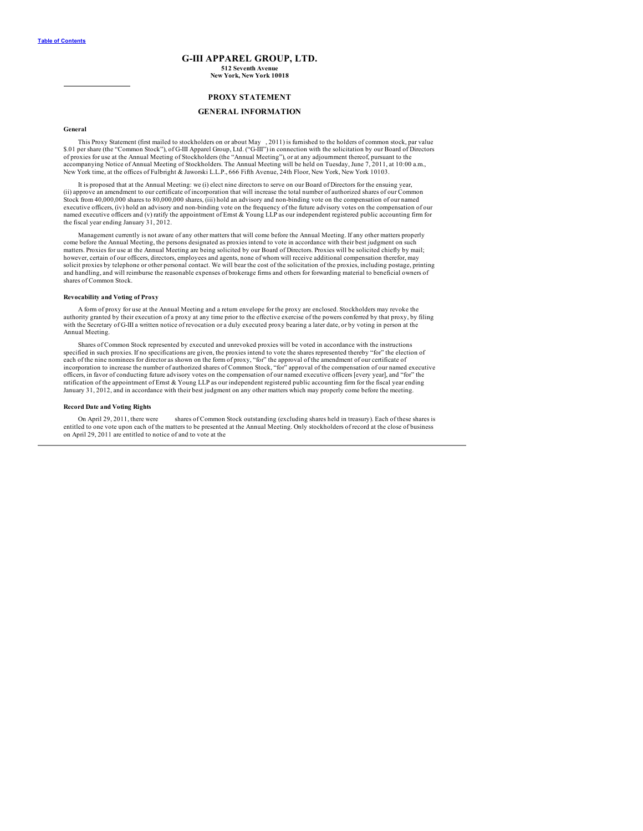## **G-III APPAREL GROUP, LTD. 512 Seventh Avenue New York, New York 10018**

## **PROXY STATEMENT**

## **GENERAL INFORMATION**

## <span id="page-3-0"></span>**General**

This Proxy Statement (first mailed to stockholders on or about May , 2011) is furnished to the holders of common stock, par value \$.01 per share (the "Common Stock"), of G-III Apparel Group, Ltd. ("G-III") in connection with the solicitation by our Board of Directors of proxies for use at the Annual Meeting of Stockholders (the "Annual Meeting"), or at any adjournment thereof, pursuant to the accompanying Notice of Annual Meeting of Stockholders. The Annual Meeting will be held on Tuesday, June 7, 2011, at 10:00 a.m.,<br>New York time, at the offices of Fulbright & Jaworski L.L.P., 666 Fifth Avenue, 24th Floor, Ne

It is proposed that at the Annual Meeting: we (i) elect nine directors to serve on our Board of Directors for the ensuing year, (ii) approve an amendment to our certificate of incorporation that will increase the total number of authorized shares of our Common Stock from 40,000,000 shares to 80,000,000 shares, (iii) hold an advisory and non-binding vote on the compensation of our named executive officers, (iv) hold an advisory and non-binding vote on the frequency of the future advisory votes on the compensation of our named executive officers and (v) ratify the appointment of Ernst & Young LLP as our independent registered public accounting firm for the fiscal year ending January 31, 2012.

Management currently is not aware of any other matters that will come before the Annual Meeting. If any other matters properly come before the Annual Meeting, the persons designated as proxies intend to vote in accordance with their best judgment on such matters. Proxies for use at the Annual Meeting are being solicited by our Board of Directors. Proxies will be solicited chiefly by mail;<br>however, certain of our officers, directors, employees and agents, none of whom will solicit proxies by telephone or other personal contact. We will bear the cost of the solicitation of the proxies, including postage, printing and handling, and will reimburse the reasonable expenses of brokerage firms and others for forwarding material to beneficial owners of shares of Common Stock.

### **Revocability and Voting of Proxy**

A form of proxy for use at the Annual Meeting and a return envelope for the proxy are enclosed. Stockholders may revoke the authority granted by their execution of a proxy at any time prior to the effective exercise of the powers conferred by that proxy, by filing<br>with the Secretary of G-III a written notice of revocation or a duly executed pro Annual Meeting.

Shares of Common Stock represented by executed and unrevoked proxies will be voted in accordance with the instructions specified in such proxies. If no specifications are given, the proxies intend to vote the shares represented thereby "for" the election of<br>each of the nine nominees for director as shown on the form of proxy, "for" the app incorporation to increase the number of authorized shares of Common Stock, "for" approval of the compensation of our named executive<br>officers, in favor of conducting future advisory votes on the compensation of our named e ratification of the appointment of Ernst & Young LLP as our independent registered public accounting firm for the fiscal year ending January 31, 2012, and in accordance with their best judgment on any other matters which may properly come before the meeting.

## **Record Date and Voting Rights**

On April 29, 2011, there were shares of Common Stock outstanding (excluding shares held in treasury). Each of these shares is entitled to one vote upon each of the matters to be presented at the Annual Meeting. Only stockh on April 29, 2011 are entitled to notice of and to vote at the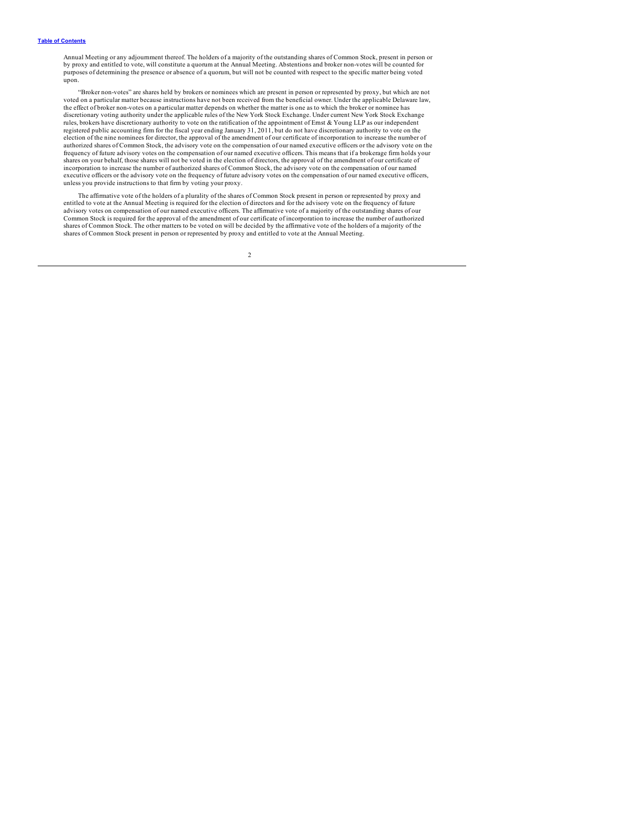Annual Meeting or any adjoumment thereof. The holders of a majority of the outstanding shares of Common Stock, present in person or<br>by proxy and entitled to vote, will constitute a quorum at the Annual Meeting. Abstentions purposes of determining the presence or absence of a quorum, but will not be counted with respect to the specific matter being voted upon.

"Broker non-votes" are shares held by brokers or nominees which are present in person or represented by proxy, but which are not voted on a particular matter because instructions have not been received from the beneficial owner. Under the applicable Delaware law, the effect of broker non-votes on a particular matter depends on whether the matter is one as to which the broker or nominee has discretionary voting authority under the applicable rules of the New York Stock Exchange. Under current New York Stock Exchange rules, brokers have discretionary authority to vote on the ratification of the appointment of Ernst & Young LLP as our independent<br>registered public accounting firm for the fiscal year ending January 31, 2011, but do not h election of the nine nominees for director, the approval of the amendment of our certificate of incorporation to increase the number of authorized shares of Common Stock, the advisory vote on the compensation of our named executive officers or the advisory vote on the<br>frequency of future advisory votes on the compensation of our named executive officers. T shares on your behalf, those shares will not be voted in the election of directors, the approval of the amendment of our certificate of incorporation to increase the number of authorized shares of Common Stock, the advisory vote on the compensation of our named executive officers or the advisory vote on the frequency of future advisory votes on the compensation of our named executive officers, unless you provide instructions to that firm by voting your proxy.

The affirmative vote of the holders of a plurality of the shares of Common Stock present in person or represented by proxy and entitled to vote at the Annual Meeting is required for the election of directors and for the advisory vote on the frequency of future<br>advisory votes on compensation of our named executive officers. The affirmative vote of Common Stock is required for the approval of the amendment of our certificate of incorporation to increase the number of authorized shares of Common Stock. The other matters to be voted on will be decided by the affirmative vote of the holders of a majority of the shares of Common Stock present in person or represented by proxy and entitled to vote at the Annual Meeting.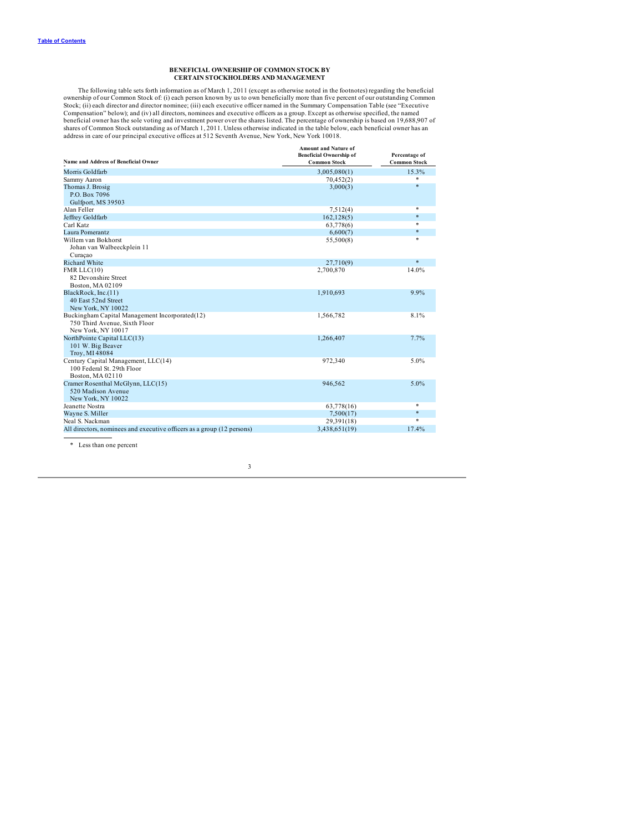## **BENEFICIAL OWNERSHIP OF COMMON STOCK BY CERTAIN STOCKHOLDERS AND MANAGEMENT**

<span id="page-5-0"></span>The following table sets forth information as of March 1, 2011 (except as otherwise noted in the footnotes) regarding the beneficial<br>ownership of our Common Stock of: (i) each person known by us to own beneficially more th Compensation" below); and (iv) all directors, nominees and executive officers as a group. Except as otherwise specified, the named<br>beneficial owner has the sole voting and investment power over the shares listed. The perce

| Name and Address of Beneficial Owner                                   | <b>Amount and Nature of</b><br><b>Beneficial Ownership of</b><br><b>Common Stock</b> | Percentage of<br><b>Common Stock</b> |
|------------------------------------------------------------------------|--------------------------------------------------------------------------------------|--------------------------------------|
| Morris Goldfarb                                                        | 3,005,080(1)                                                                         | 15.3%                                |
| Sammy Aaron                                                            | 70,452(2)                                                                            |                                      |
| Thomas J. Brosig                                                       | 3,000(3)                                                                             | $\ast$                               |
| P.O. Box 7096                                                          |                                                                                      |                                      |
| Gulfport, MS 39503                                                     |                                                                                      |                                      |
| Alan Feller                                                            | 7,512(4)                                                                             | *                                    |
| Jeffrey Goldfarb                                                       | 162, 128(5)                                                                          | $*$                                  |
| Carl Katz                                                              | 63,778(6)                                                                            | *                                    |
| Laura Pomerantz                                                        | 6,600(7)                                                                             | $*$                                  |
| Willem van Bokhorst                                                    | 55,500(8)                                                                            | $\ast$                               |
| Johan van Walbeeckplein 11                                             |                                                                                      |                                      |
| Curaçao                                                                |                                                                                      |                                      |
| <b>Richard White</b>                                                   | 27,710(9)                                                                            | $*$                                  |
| FMR $LLC(10)$                                                          | 2,700,870                                                                            | 14.0%                                |
| 82 Devonshire Street                                                   |                                                                                      |                                      |
| Boston, MA 02109                                                       |                                                                                      |                                      |
| BlackRock, Inc.(11)                                                    | 1,910,693                                                                            | 9.9%                                 |
| 40 East 52nd Street                                                    |                                                                                      |                                      |
| New York, NY 10022                                                     |                                                                                      |                                      |
| Buckingham Capital Management Incorporated(12)                         | 1,566,782                                                                            | 8.1%                                 |
| 750 Third Avenue. Sixth Floor                                          |                                                                                      |                                      |
| New York, NY 10017                                                     |                                                                                      |                                      |
| NorthPointe Capital LLC(13)                                            | 1,266,407                                                                            | 7.7%                                 |
| 101 W. Big Beaver                                                      |                                                                                      |                                      |
| Troy, MI 48084                                                         |                                                                                      |                                      |
| Century Capital Management, LLC(14)                                    | 972,340                                                                              | 5.0%                                 |
| 100 Federal St. 29th Floor                                             |                                                                                      |                                      |
| Boston, MA 02110                                                       |                                                                                      |                                      |
| Cramer Rosenthal McGlynn, LLC(15)                                      | 946.562                                                                              | $5.0\%$                              |
| 520 Madison Avenue                                                     |                                                                                      |                                      |
| New York, NY 10022                                                     |                                                                                      | *                                    |
| Jeanette Nostra                                                        | 63,778(16)                                                                           | $*$                                  |
| Wayne S. Miller                                                        | 7,500(17)                                                                            | $\ast$                               |
| Neal S. Nackman                                                        | 29,391(18)                                                                           |                                      |
| All directors, nominees and executive officers as a group (12 persons) | 3,438,651(19)                                                                        | 17.4%                                |
|                                                                        |                                                                                      |                                      |

\* Less than one percent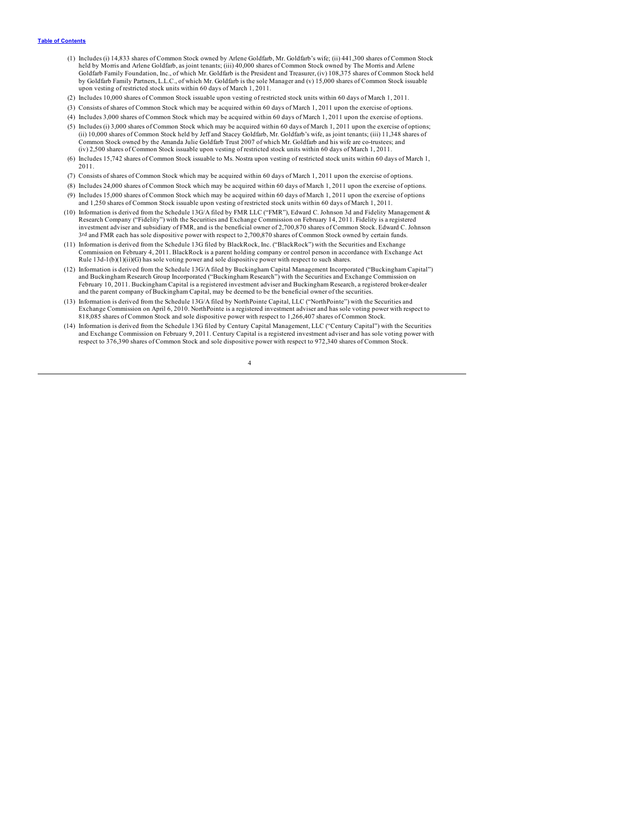- (1) Includes (i) 14,833 shares of Common Stock owned by Arlene Goldfarb, Mr. Goldfarb's wife; (ii) 441,300 shares of Common Stock held by Morris and Arlene Goldfarb, as joint tenants; (iii) 40,000 shares of Common Stock owned by The Morris and Arlene Goldfarb Family Foundation, Inc., of which Mr. Goldfarb is the President and Treasurer, (iv) 108,375 shares of Common Stock held by Goldfarb Family Partners, L.L.C., of which Mr. Goldfarb is the sole Manager and (v) 15,000 shares of Common Stock issuable upon vesting of restricted stock units within 60 days of March 1, 2011.
- (2) Includes 10,000 shares of Common Stock issuable upon vesting of restricted stock units within 60 days of March 1, 2011.
- (3) Consists of shares of Common Stock which may be acquired within 60 days of March 1, 2011 upon the exercise of options.
- (4) Includes 3,000 shares of Common Stock which may be acquired within 60 days of March 1, 2011 upon the exercise of options.
- (5) Includes (i) 3,000 shares of Common Stock which may be acquired within 60 days of March 1, 2011 upon the exercise of options; (ii) 10,000 shares of Common Stock held by Jeff and Stacey Goldfarb, Mr. Goldfarb's wife, as joint tenants; (iii) 11,348 shares of Common Stock owned by the Amanda Julie Goldfarb Trust 2007 of which Mr. Goldfarb and his wife are co-trustees; and (iv) 2,500 shares of Common Stock issuable upon vesting of restricted stock units within 60 days of March 1, 2011.
- (6) Includes 15,742 shares of Common Stock issuable to Ms. Nostra upon vesting of restricted stock units within 60 days of March 1, 2011.
- (7) Consists of shares of Common Stock which may be acquired within 60 days of March 1, 2011 upon the exercise of options.
- (8) Includes 24,000 shares of Common Stock which may be acquired within 60 days of March 1, 2011 upon the exercise of options. (9) Includes 15,000 shares of Common Stock which may be acquired within 60 days of March 1, 2011 upon the exercise of options and 1,250 shares of Common Stock issuable upon vesting of restricted stock units within 60 days
- (10) Information is derived from the Schedule 13G/A filed by FMR LLC ("FMR"), Edward C. Johnson 3d and Fidelity Management & Research Company ("Fidelity") with the Securities and Exchange Commission on February 14, 2011. Fidelity is a registered investment adviser and subsidiary of FMR, and is the beneficial owner of 2,700,870 shares of Common Stock. Edward C. Johnson 3rd and FMR each has sole dispositive power with respect to 2,700,870 shares of Common Stock owned by certain funds.
- (11) Information is derived from the Schedule 13G filed by BlackRock, Inc. ("BlackRock") with the Securities and Exchange Commission on February 4, 2011. BlackRock is a parent holding company or control person in accordance with Exchange Act Rule 13d-1(b)(1)(ii)(G) has sole voting power and sole dispositive power with respect to such shares.
- (12) Information is derived from the Schedule 13G/A filed by Buckingham Capital Management Incorporated ("Buckingham Capital") and Buckingham Research Group Incorporated ("Buckingham Research") with the Securities and Exchange Commission on February 10, 2011. Buckingham Capital is a registered investment adviser and Buckingham Research, a registered broker-dealer and the parent company of Buckingham Capital, may be deemed to be the beneficial owner of the securities.
- (13) Information is derived from the Schedule 13G/A filed by NorthPointe Capital, LLC ("NorthPointe") with the Securities and Exchange Commission on April 6, 2010. NorthPointe is a registered investment adviser and has sole voting power with respect to 818,085 shares of Common Stock and sole dispositive power with respect to 1,266,407 shares of Common Stock.
- (14) Information is derived from the Schedule 13G filed by Century Capital Management, LLC ("Century Capital") with the Securities and Exchange Commission on February 9, 2011. Century Capital is a registered investment adviser and has sole voting power with<br>respect to 376,390 shares of Common Stock and sole dispositive power with respect to 972,340 sh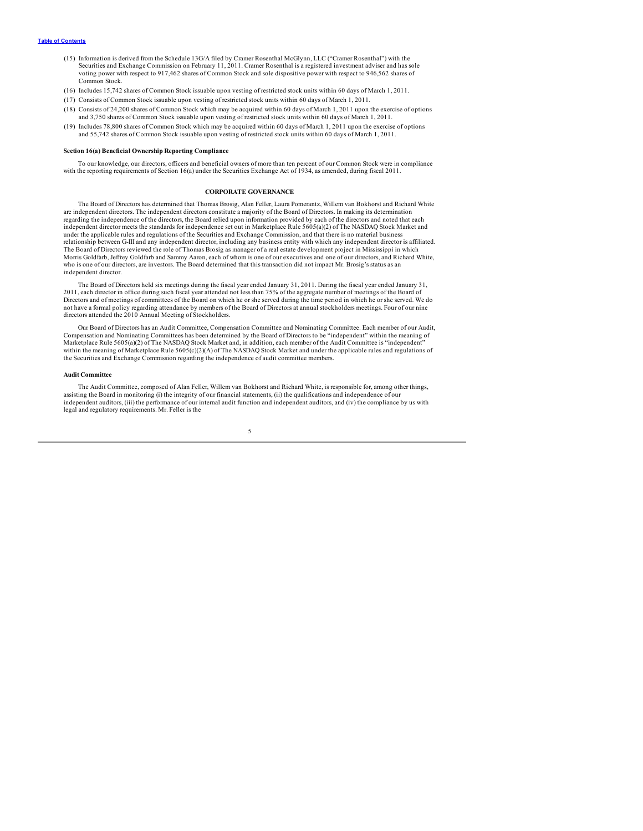- <span id="page-7-0"></span>(15) Information is derived from the Schedule 13G/A filed by Cramer Rosenthal McGlynn, LLC ("Cramer Rosenthal") with the Securities and Exchange Commission on February 11, 2011. Cramer Rosenthal is a registered investment adviser and has sole voting power with respect to 917,462 shares of Common Stock and sole dispositive power with respect to 946,562 shares of Common Stock.
- (16) Includes 15,742 shares of Common Stock issuable upon vesting of restricted stock units within 60 days of March 1, 2011.
- (17) Consists of Common Stock issuable upon vesting of restricted stock units within 60 days of March 1, 2011.
- (18) Consists of 24,200 shares of Common Stock which may be acquired within 60 days of March 1, 2011 upon the exercise of options and 3,750 shares of Common Stock issuable upon vesting of restricted stock units within 60 days of March 1, 2011.
- (19) Includes 78,800 shares of Common Stock which may be acquired within 60 days of March 1, 2011 upon the exercise of options and 55,742 shares of Common Stock issuable upon vesting of restricted stock units within 60 days of March 1, 2011.

## **Section 16(a) Beneficial Ownership Reporting Compliance**

To our knowledge, our directors, officers and beneficial owners of more than ten percent of our Common Stock were in compliance with the reporting requirements of Section 16(a) under the Securities Exchange Act of 1934, as amended, during fiscal 2011.

## **CORPORATE GOVERNANCE**

The Board of Directors has determined that Thomas Brosig, Alan Feller, Laura Pomerantz, Willem van Bokhorst and Richard White are independent directors. The independent directors constitute a majority of the Board of Directors. In making its determination regarding the independence of the directors, the Board relied upon information provided by each of the directors and noted that each independent director meets the standards for independence set out in Marketplace Rule 5605(a)(2) of The NASDAQ Stock Market and under the applicable rules and regulations of the Securities and Exchange Commission, and that there is no material business<br>relationship between G-III and any independent director, including any business entity with which The Board of Directors reviewed the role of Thomas Brosig as manager of a real estate development project in Mississippi in which Morris Goldfarb, Jeffrey Goldfarb and Sammy Aaron, each of whom is one of our executives and one of our directors, and Richard White, who is one of our directors, are investors. The Board determined that this transaction did not impact Mr. Brosig's status as an independent director.

The Board of Directors held six meetings during the fiscal year ended January 31, 2011. During the fiscal year ended January 31, 2011, each director in office during such fiscal year attended not less than 75% of the aggregate number of meetings of the Board of Directors and of meetings of committees of the Board on which he or she served during the time period in which he or she served. We do not have a formal policy regarding attendance by members of the Board of Directors at annual stockholders meetings. Four of our nine directors attended the 2010 Annual Meeting of Stockholders.

Our Board of Directors has an Audit Committee, Compensation Committee and Nominating Committee. Each member of our Audit, Compensation and Nominating Committees has been determined by the Board of Directors to be "independent" within the meaning of Marketplace Rule 5605(a)(2) of The NASDAQ Stock Market and, in addition, each member of the Audit Committee is "independent" within the meaning of Marketplace Rule  $5605(c)(2)(A)$  of The NASDAQ Stock Market and under the applicable rules and regulations of the Securities and Exchange Commission regarding the independence of audit committee members.

#### **Audit Committee**

The Audit Committee, composed of Alan Feller, Willem van Bokhorst and Richard White, is responsible for, among other things, assisting the Board in monitoring (i) the integrity of our financial statements, (ii) the qualifications and independence of our<br>independent auditors, (iii) the performance of our internal audit function and independent au legal and regulatory requirements. Mr. Feller is the

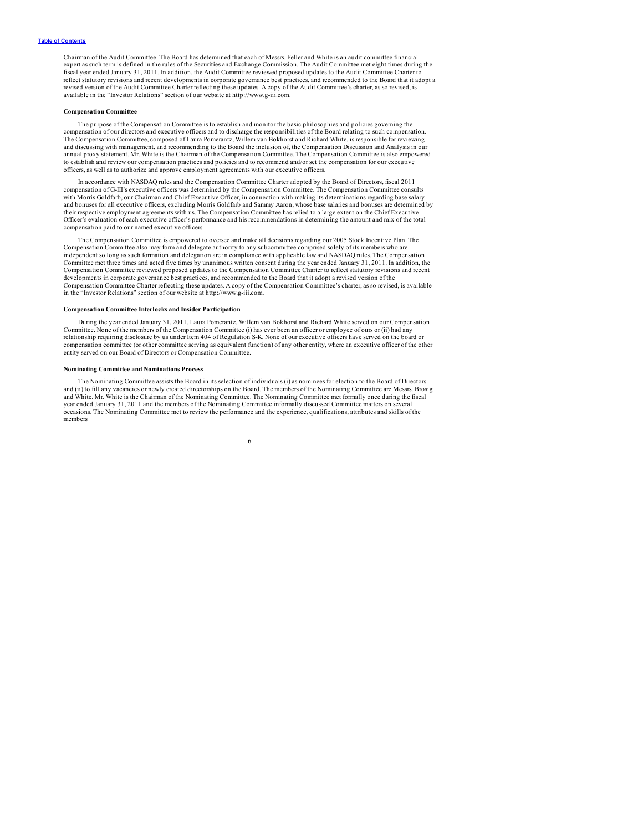Chairman of the Audit Committee. The Board has determined that each of Messrs. Feller and White is an audit committee financial expert as such term is defined in the rules of the Securities and Exchange Commission. The Audit Committee met eight times during the fiscal year ended January 31, 2011. In addition, the Audit Committee reviewed proposed updates to the Audit Committee Charter to reflect statutory revisions and recent developments in corporate governance best practices, and recommended to the Board that it adopt a revised version of the Audit Committee Charter reflecting these updates. A copy of the Audit Committee's charter, as so revised, is available in the "Investor Relations" section of our website at http://www.g-iii.com.

#### **Compensation Committee**

The purpose of the Compensation Committee is to establish and monitor the basic philosophies and policies governing the compensation of our directors and executive officers and to discharge the responsibilities of the Board relating to such compensation. The Compensation Committee, composed of Laura Pomerantz, Willem van Bokhorst and Richard White, is responsible for reviewing and discussing with management, and recommending to the Board the inclusion of, the Compensation Discussion and Analysis in our annual proxy statement. Mr. White is the Chairman of the Compensation Committee. The Compensation Committee is also empowered to establish and review our compensation practices and policies and to recommend and/or set the compensation for our executive officers, as well as to authorize and approve employment agreements with our executive officers.

In accordance with NASDAQ rules and the Compensation Committee Charter adopted by the Board of Directors, fiscal 2011 compensation of G-III's executive officers was determined by the Compensation Committee. The Compensation Committee consults<br>with Morris Goldfarb, our Chairman and Chief Executive Officer, in connection with making its det and bonuses for all executive officers, excluding Morris Goldfarb and Sammy Aaron, whose base salaries and bonuses are determined by their respective employment agreements with us. The Compensation Committee has relied to a large extent on the Chief Executive Officer's evaluation of each executive officer's performance and his recommendations in determining the amount and mix of the total compensation paid to our named executive officers.

The Compensation Committee is empowered to oversee and make all decisions regarding our 2005 Stock Incentive Plan. The Compensation Committee also may form and delegate authority to any subcommittee comprised solely of its members who are independent so long as such formation and delegation are in compliance with applicable law and NASDAQ rules. The Compensation Committee met three times and acted five times by unanimous written consent during the year ended January 31, 2011. In addition, the Compensation Committee reviewed proposed updates to the Compensation Committee Charter to reflect statutory revisions and recent developments in corporate governance best practices, and recommended to the Board that it adopt a revised version of the Compensation Committee Charter reflecting these updates. A copy of the Compensation Committee's charter, as so revised, is available in the "Investor Relations" section of our website at http://www.g-iii.com.

## **Compensation Committee Interlocks and Insider Participation**

During the year ended January 31, 2011, Laura Pomerantz, Willem van Bokhorst and Richard White served on our Compensation Committee. None of the members of the Compensation Committee (i) has ever been an officer or employee of ours or (ii) had any relationship requiring disclosure by us under Item 404 of Regulation S-K. None of our executive officers have served on the board or compensation committee (or other committee serving as equivalent function) of any other entity, where an executive officer of the other entity served on our Board of Directors or Compensation Committee.

### **Nominating Committee and Nominations Process**

The Nominating Committee assists the Board in its selection of individuals (i) as nominees for election to the Board of Directors and (ii) to fill any vacancies or newly created directorships on the Board. The members of the Nominating Committee are Messrs. Brosig and White. Mr. White is the Chairman of the Nominating Committee. The Nominating Committee met formally once during the fiscal year ended January 31, 2011 and the members of the Nominating Committee informally discussed Committee matters on several occasions. The Nominating Committee met to review the performance and the experience, qualifications, attributes and skills of the members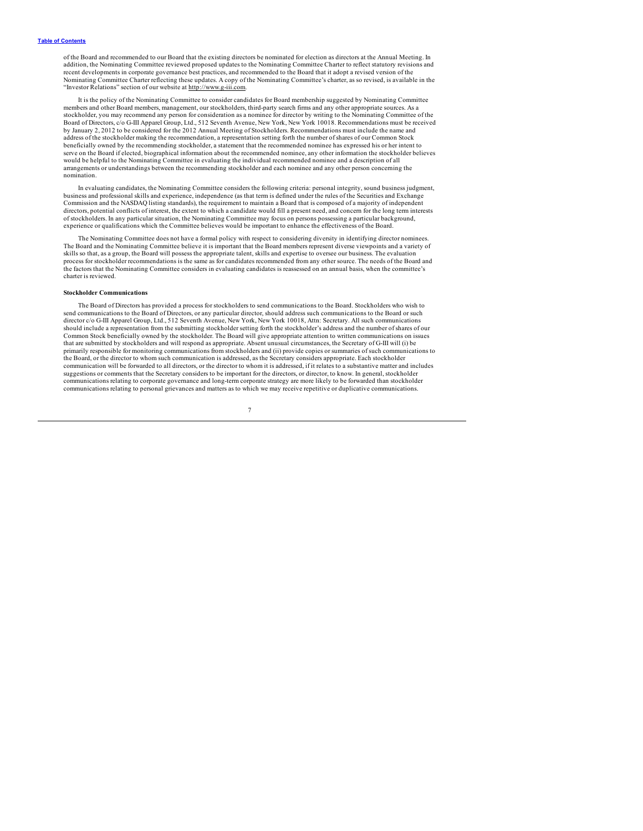of the Board and recommended to our Board that the existing directors be nominated for election as directors at the Annual Meeting. In addition, the Nominating Committee reviewed proposed updates to the Nominating Committee Charter to reflect statutory revisions and recent developments in corporate governance best practices, and recommended to the Board that it adopt a revised version of the Nominating Committee Charter reflecting these updates. A copy of the Nominating Committee's charter, as so revised, is available in the "Investor Relations" section of our website at http://www.g-iii.com.

It is the policy of the Nominating Committee to consider candidates for Board membership suggested by Nominating Committee members and other Board members, management, our stockholders, third-party search firms and any other appropriate sources. As a stockholder, you may recommend any person for consideration as a nominee for director by writing to the Nominating Committee of the Board of Directors, c/o G-III Apparel Group, Ltd., 512 Seventh Avenue, New York, New York 10018. Recommendations must be received<br>by January 2, 2012 to be considered for the 2012 Annual Meeting of Stockholders. Recommendat address of the stockholder making the recommendation, a representation setting forth the number of shares of our Common Stock beneficially owned by the recommending stockholder, a statement that the recommended nominee has expressed his or her intent to<br>serve on the Board if elected, biographical information about the recommended nominee, any oth would be helpful to the Nominating Committee in evaluating the individual recommended nominee and a description of all arrangements or understandings between the recommending stockholder and each nominee and any other person concerning the nomination.

In evaluating candidates, the Nominating Committee considers the following criteria: personal integrity, sound business judgment, business and professional skills and experience, independence (as that term is defined under the rules of the Securities and Exchange Commission and the NASDAQ listing standards), the requirement to maintain a Board that is composed of a majority of independent directors, potential conflicts of interest, the extent to which a candidate would fill a present need, and concern for the long term interests of stockholders. In any particular situation, the Nominating Committee may focus on persons possessing a particular background, experience or qualifications which the Committee believes would be important to enhance the effectiveness of the Board.

The Nominating Committee does not have a formal policy with respect to considering diversity in identifying director nominees. The Board and the Nominating Committee believe it is important that the Board members represent diverse viewpoints and a variety of skills so that, as a group, the Board will possess the appropriate talent, skills and expertise to oversee our business. The evaluation process for stockholder recommendations is the same as for candidates recommended from any other source. The needs of the Board and<br>the factors that the Nominating Committee considers in evaluating candidates is reassessed charter is reviewed.

### **Stockholder Communications**

The Board of Directors has provided a process for stockholders to send communications to the Board. Stockholders who wish to send communications to the Board of Directors, or any particular director, should address such communications to the Board or such director c/o G-III Apparel Group, Ltd., 512 Seventh Avenue, New York, New York 10018, Attn: Secretary. All such communications should include a representation from the submitting stockholder setting forth the stockholder's address and the number of shares of our<br>Common Stock beneficially owned by the stockholder. The Board will give appropriate at that are submitted by stockholders and will respond as appropriate. Absent unusual circumstances, the Secretary of G-III will (i) be primarily responsible for monitoring communications from stockholders and (ii) provide copies or summaries of such communications to<br>the Board, or the director to whom such communication is addressed, as the Secretary cons communication will be forwarded to all directors, or the director to whom it is addressed, if it relates to a substantive matter and includes suggestions or comments that the Secretary considers to be important for the directors, or director, to know. In general, stockholder communications relating to corporate governance and long-term corporate strategy are more likely to be forwarded than stockholder communications relating to personal grievances and matters as to which we may receive repetitive or duplicative communications.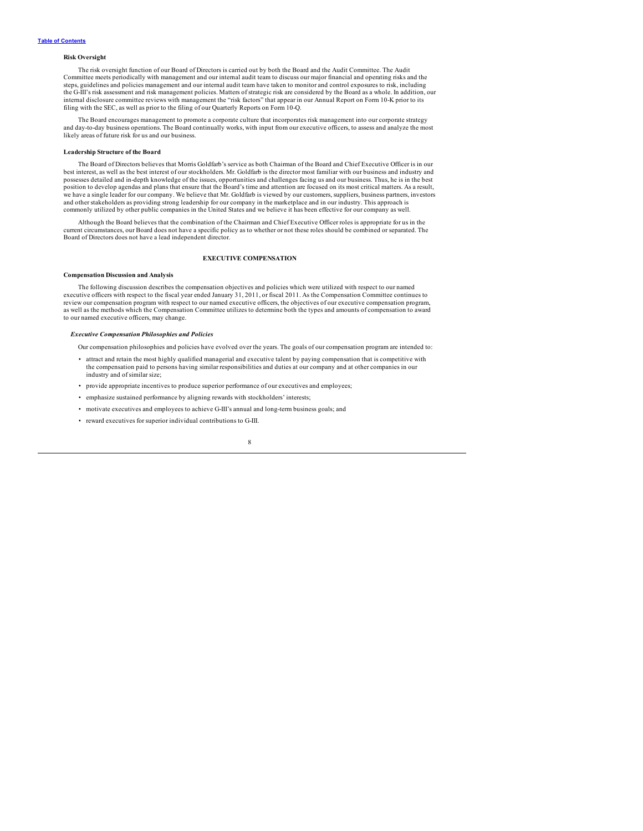## <span id="page-10-0"></span>**Risk Oversight**

The risk oversight function of our Board of Directors is carried out by both the Board and the Audit Committee. The Audit Committee meets periodically with management and our internal audit team to discuss our major financial and operating risks and the steps, guidelines and policies management and our intemal audit team have taken to monitor and control exposures to risk, including<br>the G-III's risk assessment and risk management policies. Matters of strategic risk are co internal disclosure committee reviews with management the "risk factors" that appear in our Annual Report on Form 10-K prior to its filing with the SEC, as well as prior to the filing of our Quarterly Reports on Form 10-Q.

The Board encourages management to promote a corporate culture that incorporates risk management into our corporate strategy<br>and day-to-day business operations. The Board continually works, with input from our executive of likely areas of future risk for us and our business.

## **Leadership Structure of the Board**

The Board of Directors believes that Morris Goldfarb's service as both Chairman of the Board and Chief Executive Officer is in our best interest, as well as the best interest of our stockholders. Mr. Goldfarb is the director most familiar with our business and industry and possesses detailed and in-depth knowledge of the issues, opportunities and challenges facing us and our business. Thus, he is in the best position to develop agendas and plans that ensure that the Board's time and attention are focused on its most critical matters. As a result,<br>we have a single leader for our company. We believe that Mr. Goldfarb is viewed b and other stakeholders as providing strong leadership for our company in the marketplace and in our industry. This approach is commonly utilized by other public companies in the United States and we believe it has been effective for our company as well.

Although the Board believes that the combination of the Chairman and Chief Executive Officer roles is appropriate for us in the current circumstances, our Board does not have a specific policy as to whether or not these roles should be combined or separated. The Board of Directors does not have a lead independent director.

## **EXECUTIVE COMPENSATION**

## **Compensation Discussion and Analysis**

The following discussion describes the compensation objectives and policies which were utilized with respect to our named executive officers with respect to the fiscal year ended January 31, 2011, or fiscal 2011. As the Compensation Committee continues to<br>review our compensation program with respect to our named executive officers, the object as well as the methods which the Compensation Committee utilizes to determine both the types and amounts of compensation to award to our named executive officers, may change.

## *Executive Compensation Philosophies and Policies*

Our compensation philosophies and policies have evolved over the years. The goals of our compensation program are intended to:

- attract and retain the most highly qualified managerial and executive talent by paying compensation that is competitive with the compensation paid to persons having similar responsibilities and duties at our company and at other companies in our industry and of similar size;
- provide appropriate incentives to produce superior performance of our executives and employees;
- emphasize sustained performance by aligning rewards with stockholders' interests;
- motivate executives and employees to achieve G-III's annual and long-term business goals; and
- reward executives for superior individual contributions to G-III.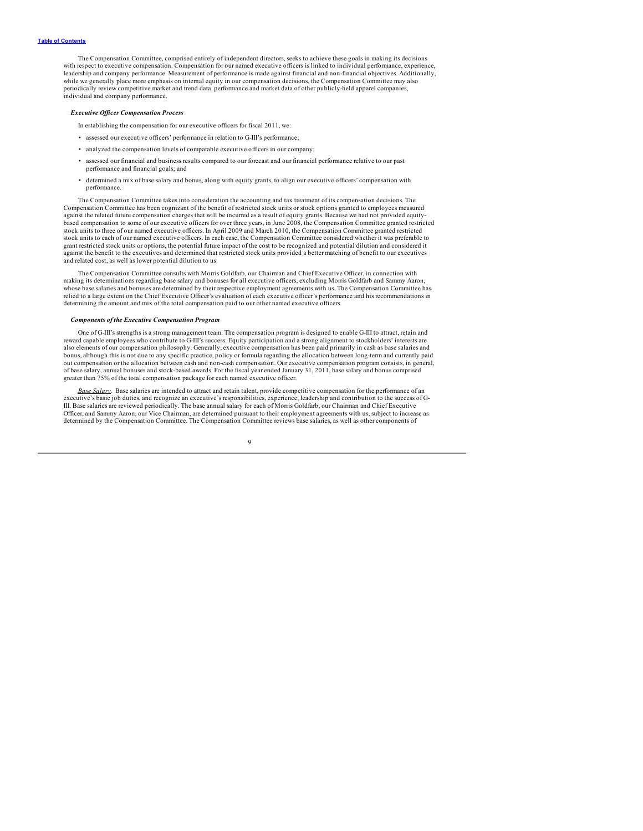The Compensation Committee, comprised entirely of independent directors, seeks to achieve these goals in making its decisions with respect to executive compensation. Compensation for our named executive officers is linked to individual performance, experience, leadership and company performance. Measurement of performance is made against financial and non-financial objectives. Additionally, while we generally place more emphasis on internal equity in our compensation decisions, the Compensation Committee may also periodically review competitive market and trend data, performance and market data of other publicly-held apparel companies, individual and company performance.

#### *Executive Of icer Compensation Process*

In establishing the compensation for our executive officers for fiscal 2011, we:

- assessed our executive officers' performance in relation to G-III's performance;
- analyzed the compensation levels of comparable executive officers in our company;
- assessed our financial and business results compared to our forecast and our financial performance relative to our past performance and financial goals; and
- determined a mix of base salary and bonus, along with equity grants, to align our executive officers' compensation with performance.

The Compensation Committee takes into consideration the accounting and tax treatment of its compensation decisions. The Compensation Committee has been cognizant of the benefit of restricted stock units or stock options granted to employees measured against the related future compensation charges that will be incurred as a result of equity grants. Because we had not provided equitybased compensation to some of our executive officers for over three years, in June 2008, the Compensation Committee granted restricted stock units to three of our named executive officers. In April 2009 and March 2010, the Compensation Committee granted restricted stock units to each of our named executive officers. In each case, the Compensation Committee considered whether it was preferable to grant restricted stock units or options, the potential future impact of the cost to be recognized and potential dilution and considered it against the benefit to the executives and determined that restricted stock units provided a better matching of benefit to our executives and related cost, as well as lower potential dilution to us.

The Compensation Committee consults with Morris Goldfarb, our Chairman and Chief Executive Officer, in connection with making its determinations regarding base salary and bonuses for all executive officers, excluding Morris Goldfarb and Sammy Aaron,<br>whose base salaries and bonuses are determined by their respective employment agreements wi relied to a large extent on the Chief Executive Officer's evaluation of each executive officer's performance and his recommendations in determining the amount and mix of the total compensation paid to our other named executive officers.

#### *Components of the Executive Compensation Program*

One of G-III's strengths is a strong management team. The compensation program is designed to enable G-III to attract, retain and reward capable employees who contribute to G-III's success. Equity participation and a strong alignment to stockholders' interests are also elements of our compensation philosophy. Generally, executive compensation has been paid primarily in cash as base salaries and<br>bonus, although this is not due to any specific practice, policy or formula regarding the out compensation or the allocation between cash and non-cash compensation. Our executive compensation program consists, in general, of base salary, annual bonuses and stock-based awards. For the fiscal year ended January 31, 2011, base salary and bonus comprised greater than 75% of the total compensation package for each named executive officer.

*Base Salary.* Base salaries are intended to attract and retain talent, provide competitive compensation for the performance of an executive's basic job duties, and recognize an executive's responsibilities, experience, leadership and contribution to the success of G-III. Base salaries are reviewed periodically. The base annual salary for each of Morris Goldfarb, our Chairman and Chief Executive Officer, and Sammy Aaron, our Vice Chairman, are determined pursuant to their employment agreements with us, subject to increase as determined by the Compensation Committee. The Compensation Committee reviews base salaries, as well as other components of

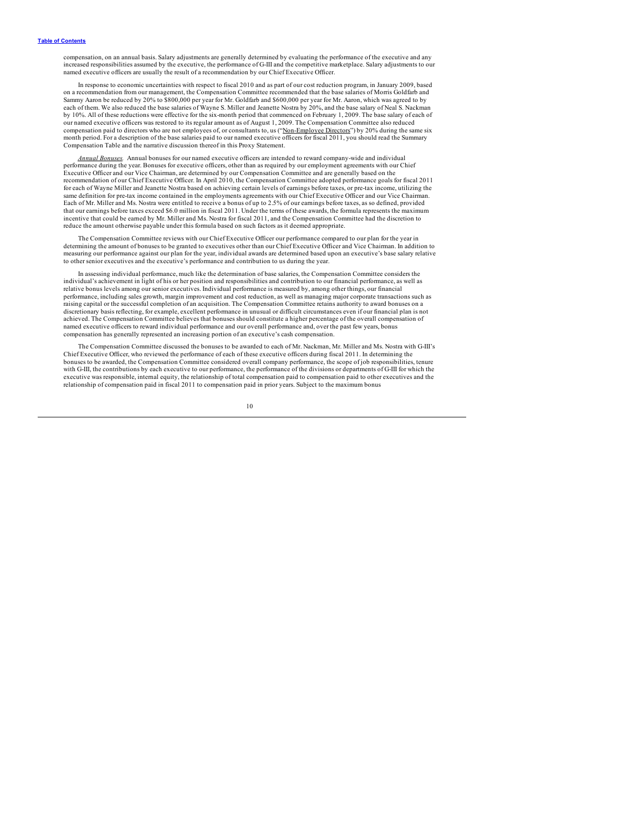compensation, on an annual basis. Salary adjustments are generally determined by evaluating the performance of the executive and any increased responsibilities assumed by the executive, the performance of G-III and the competitive marketplace. Salary adjustments to our named executive officers are usually the result of a recommendation by our Chief Executive Officer.

In response to economic uncertainties with respect to fiscal 2010 and as part of our cost reduction program, in January 2009, based on a recommendation from our management, the Compensation Committee recommended that the base salaries of Morris Goldfarb and Sammy Aaron be reduced by 20% to \$800,000 per year for Mr. Goldfarb and \$600,000 per year for Mr. Aaron, which was agreed to by each of them. We also reduced the base salaries of Wayne S. Miller and Jeanette Nostra by 20%, and the base salary of Neal S. Nackman by 10%. All of these reductions were effective for the six-month period that commenced on February 1, 2009. The base salary of each of our named executive officers was restored to its regular amount as of August 1, 2009. The Compensation Committee also reduced compensation paid to directors who are not employees of, or consultants to, us ("Non-Employee Directors") by 20% during the same six month period. For a description of the base salaries paid to our named executive officers for fiscal 2011, you should read the Summary Compensation Table and the narrative discussion thereof in this Proxy Statement.

*Annual Bonuses.* Annual bonuses for our named executive officers are intended to reward company-wide and individual performance during the year. Bonuses for executive officers, other than as required by our employment agreements with our Chief Executive Officer and our Vice Chairman, are determined by our Compensation Committee and are generally based on the<br>recommendation of our Chief Executive Officer. In April 2010, the Compensation Committee adopted performa for each of Wayne Miller and Jeanette Nostra based on achieving certain levels of earnings before taxes, or pre-tax income, utilizing the same definition for pre-tax income contained in the employments agreements with our Chief Executive Officer and our Vice Chairman.<br>Each of Mr. Miller and Ms. Nostra were entitled to receive a bonus of up to 2.5% of our ear that our earnings before taxes exceed \$6.0 million in fiscal 2011. Under the terms of these awards, the formula represents the maximum incentive that could be earned by Mr. Miller and Ms. Nostra for fiscal 2011, and the Compensation Committee had the discretion to reduce the amount otherwise payable under this formula based on such factors as it deemed appropriate.

The Compensation Committee reviews with our Chief Executive Officer our performance compared to our plan for the year in determining the amount of bonuses to be granted to executives other than our Chief Executive Officer and Vice Chairman. In addition to measuring our performance against our plan for the year, individual awards are determined based upon an executive's base salary relative to other senior executives and the executive's performance and contribution to us during the year.

In assessing individual performance, much like the determination of base salaries, the Compensation Committee considers the individual's achievement in light of his or her position and responsibilities and contribution to our financial performance, as well as relative bonus levels among our senior executives. Individual performance is measured by, among other things, our financial performance, including sales growth, margin improvement and cost reduction, as well as managing major corporate transactions such as raising capital or the successful completion of an acquisition. The Compensation Committee retains authority to award bonuses on a discretionary basis reflecting, for example, excellent performance in unusual or difficult circumstances even if our financial plan is not<br>achieved. The Compensation Committee believes that bonuses should constitute a high named executive officers to reward individual performance and our overall performance and, over the past few years, bonus compensation has generally represented an increasing portion of an executive's cash compensation.

The Compensation Committee discussed the bonuses to be awarded to each of Mr. Nackman, Mr. Miller and Ms. Nostra with G-III's Chief Executive Officer, who reviewed the performance of each of these executive officers during fiscal 2011. In determining the bonuses to be awarded, the Compensation Committee considered overall company performance, the scope of job responsibilities, tenure with G-III, the contributions by each executive to our performance, the performance of the divisions or departments of G-III for which the executive was responsible, internal equity, the relationship of total compensation paid to compensation paid to other executives and the relationship of compensation paid in fiscal 2011 to compensation paid in prior years. Subject to the maximum bonus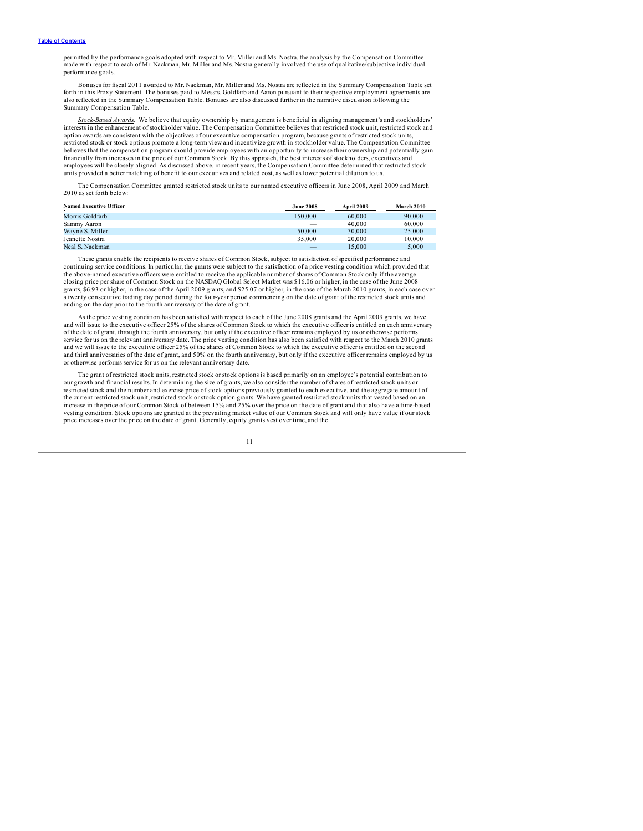permitted by the performance goals adopted with respect to Mr. Miller and Ms. Nostra, the analysis by the Compensation Committee<br>made with respect to each of Mr. Nackman, Mr. Miller and Ms. Nostra generally involved the us performance goals.

Bonuses for fiscal 2011 awarded to Mr. Nackman, Mr. Miller and Ms. Nostra are reflected in the Summary Compensation Table set<br>forth in this Proxy Statement. The bonuses paid to Messrs. Goldfarb and Aaron pursuant to their also reflected in the Summary Compensation Table. Bonuses are also discussed further in the narrative discussion following the Summary Compensation Table.

Stock-Based Awards. We believe that equity ownership by management is beneficial in aligning management's and stockholders'<br>interests in the enhancement of stockholder value. The Compensation Committee believes that restri option awards are consistent with the objectives of our executive compensation program, because grants of restricted stock units, restricted stock or stock options promote a long-term view and incentivize growth in stockholder value. The Compensation Committee believes that the compensation program should provide employees with an opportunity to increase their ownership and potentially gain financially from increases in the price of our Common Stock. By this approach, the best interests of stockholders, executives and employees will be closely aligned. As discussed above, in recent years, the Compensation Committee determined that restricted stock units provided a better matching of benefit to our executives and related cost, as well as lower potential dilution to us.

The Compensation Committee granted restricted stock units to our named executive officers in June 2008, April 2009 and March 2010 as set forth below:

| <b>Named Executive Officer</b> | <b>June 2008</b>         | April 2009 | March 2010 |
|--------------------------------|--------------------------|------------|------------|
| Morris Goldfarb                | 150.000                  | 60,000     | 90,000     |
| Sammy Aaron                    | $\overline{\phantom{a}}$ | 40,000     | 60,000     |
| Wayne S. Miller                | 50,000                   | 30,000     | 25,000     |
| Jeanette Nostra                | 35,000                   | 20,000     | 10.000     |
| Neal S. Nackman                | $\overline{\phantom{a}}$ | 15.000     | 5.000      |

These grants enable the recipients to receive shares of Common Stock, subject to satisfaction of specified performance and continuing service conditions. In particular, the grants were subject to the satisfaction of a price vesting condition which provided that<br>the above-named executive officers were entitled to receive the applicable number o closing price per share of Common Stock on the NASDAQ Global Select Market was \$16.06 or higher, in the case of the June 2008 grants, \$6.93 or higher, in the case of the April 2009 grants, and \$25.07 or higher, in the case of the March 2010 grants, in each case over<br>a twenty consecutive trading day period during the four-year period commencing on ending on the day prior to the fourth anniversary of the date of grant.

As the price vesting condition has been satisfied with respect to each of the June 2008 grants and the April 2009 grants, we have<br>and will issue to the executive officer 25% of the shares of Common Stock to which the execu of the date of grant, through the fourth anniversary, but only if the executive officer remains employed by us or otherwise performs service for us on the relevant anniversary date. The price vesting condition has also been satisfied with respect to the March 2010 grants<br>and we will issue to the executive officer 25% of the shares of Common Stock to whi and third anniversaries of the date of grant, and 50% on the fourth anniversary, but only if the executive officer remains employed by us or otherwise performs service for us on the relevant anniversary date.

The grant of restricted stock units, restricted stock or stock options is based primarily on an employee's potential contribution to our growth and financial results. In determining the size of grants, we also consider the number of shares of restricted stock units or restricted stock and the number and exercise price of stock options previously granted to each executive, and the aggregate amount of the current restricted stock unit, restricted stock or stock option grants. We have granted restricted stock units that vested based on an<br>increase in the price of our Common Stock of between 15% and 25% over the price on vesting condition. Stock options are granted at the prevailing market value of our Common Stock and will only have value if our stock price increases over the price on the date of grant. Generally, equity grants vest over time, and the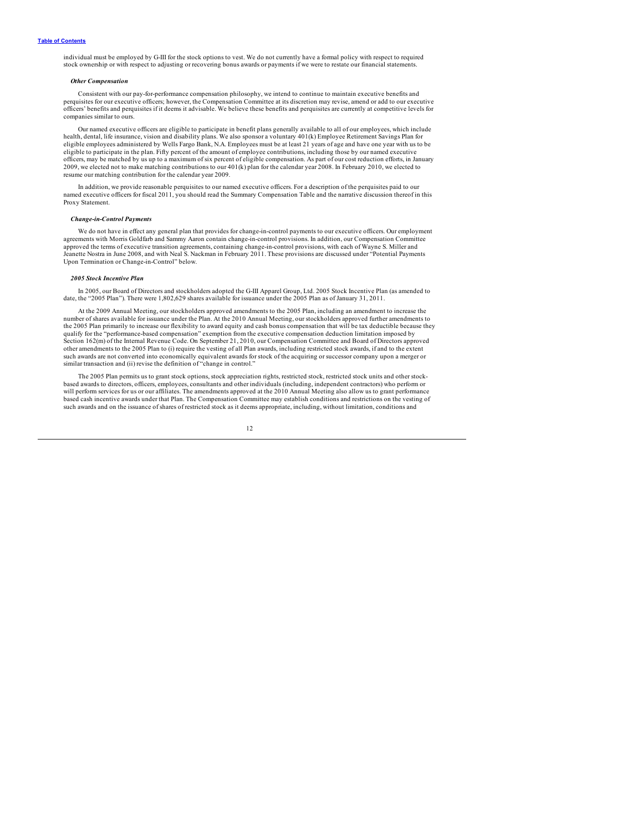individual must be employed by G-III for the stock options to vest. We do not currently have a formal policy with respect to required stock ownership or with respect to adjusting or recovering bonus awards or payments if we were to restate our financial statements.

## *Other Compensation*

Consistent with our pay-for-performance compensation philosophy, we intend to continue to maintain executive benefits and perquisites for our executive officers; however, the Compensation Committee at its discretion may revise, amend or add to our executive<br>officers' benefits and perquisites if it deems it advisable. We believe these benefits companies similar to ours.

Our named executive officers are eligible to participate in benefit plans generally available to all of our employees, which include health, dental, life insurance, vision and disability plans. We also sponsor a voluntary 401(k) Employee Retirement Savings Plan for eligible employees administered by Wells Fargo Bank, N.A. Employees must be at least 21 years of age and have one year with us to be eligible to participate in the plan. Fifty percent of the amount of employee contributions, including those by our named executive officers, may be matched by us up to a maximum of six percent of eligible compensation. As part of our cost reduction efforts, in January 2009, we elected not to make matching contributions to our 401(k) plan for the calendar year 2008. In February 2010, we elected to resume our matching contribution for the calendar year 2009.

In addition, we provide reasonable perquisites to our named executive officers. For a description of the perquisites paid to our<br>named executive officers for fiscal 2011, you should read the Summary Compensation Table and Proxy Statement.

## *Change-in-Control Payments*

We do not have in effect any general plan that provides for change-in-control payments to our executive officers. Our employment agreements with Morris Goldfarb and Sammy Aaron contain change-in-control provisions. In addition, our Compensation Committee<br>approved the terms of executive transition agreements, containing change-in-control provisions, Jeanette Nostra in June 2008, and with Neal S. Nackman in February 2011. These provisions are discussed under "Potential Payments Upon Termination or Change-in-Control" below.

#### *2005 Stock Incentive Plan*

In 2005, our Board of Directors and stockholders adopted the G-III Apparel Group, Ltd. 2005 Stock Incentive Plan (as amended to date, the "2005 Plan"). There were 1,802,629 shares available for issuance under the 2005 Plan as of January 31, 2011.

At the 2009 Annual Meeting, our stockholders approved amendments to the 2005 Plan, including an amendment to increase the number of shares available for issuance under the Plan. At the 2010 Annual Meeting, our stockholders approved further amendments to the 2005 Plan primarily to increase our flexibility to award equity and cash bonus compensation that will be tax deductible because they qualify for the "performance-based compensation" exemption from the executive compensation deduction limitation imposed by<br>Section 162(m) of the Internal Revenue Code. On September 21, 2010, our Compensation Committee and other amendments to the 2005 Plan to (i) require the vesting of all Plan awards, including restricted stock awards, if and to the extent such awards are not converted into economically equivalent awards for stock of the acquiring or successor company upon a merger or similar transaction and (ii) revise the definition of "change in control."

The 2005 Plan permits us to grant stock options, stock appreciation rights, restricted stock, restricted stock units and other stockbased awards to directors, officers, employees, consultants and other individuals (including, independent contractors) who perform or<br>will perform services for us or our affiliates. The amendments approved at the 2010 Annu based cash incentive awards under that Plan. The Compensation Committee may establish conditions and restrictions on the vesting of such awards and on the issuance of shares of restricted stock as it deems appropriate, including, without limitation, conditions and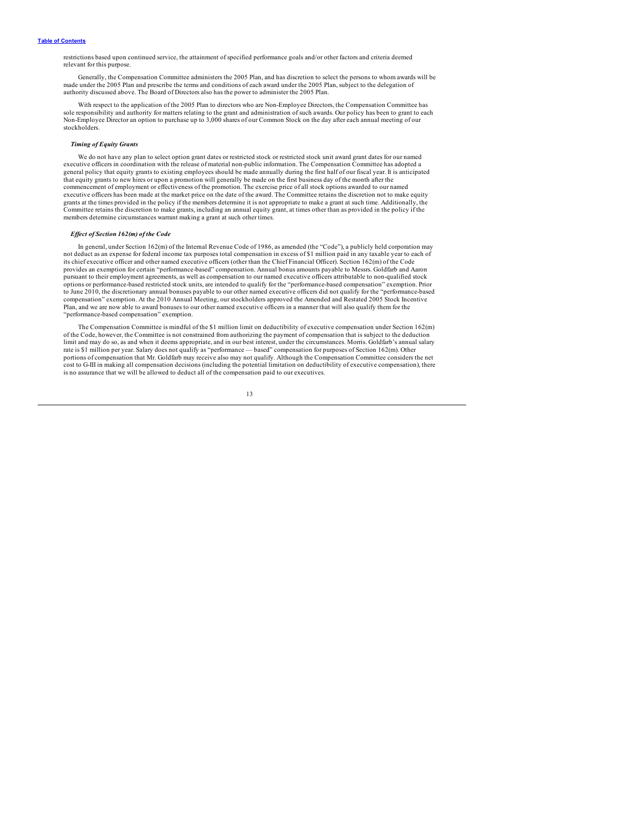restrictions based upon continued service, the attainment of specified performance goals and/or other factors and criteria deemed relevant for this purpose.

Generally, the Compensation Committee administers the 2005 Plan, and has discretion to select the persons to whom awards will be made under the 2005 Plan and prescribe the terms and conditions of each award under the 2005 Plan, subject to the delegation of authority discussed above. The Board of Directors also has the power to administer the 2005 Plan.

With respect to the application of the 2005 Plan to directors who are Non-Employee Directors, the Compensation Committee has sole responsibility and authority for matters relating to the grant and administration of such awards. Our policy has been to grant to each Non-Employee Director an option to purchase up to 3,000 shares of our Common Stock on the day after each annual meeting of our stockholders.

## *Timing of Equity Grants*

We do not have any plan to select option grant dates or restricted stock or restricted stock unit award grant dates for our named executive officers in coordination with the release of material non-public information. The Compensation Committee has adopted a<br>general policy that equity grants to existing employees should be made annually during the fi that equity grants to new hires or upon a promotion will generally be made on the first business day of the month after the commencement of employment or effectiveness of the promotion. The exercise price of all stock options awarded to our named<br>executive officers has been made at the market price on the date of the award. The Committee retain grants at the times provided in the policy if the members determine it is not appropriate to make a grant at such time. Additionally, the<br>Committee retains the discretion to make grants, including an annual equity grant, a members determine circumstances warrant making a grant at such other times.

#### *Ef ect of Section 162(m) of the Code*

In general, under Section 162(m) of the Internal Revenue Code of 1986, as amended (the "Code"), a publicly held corporation may not deduct as an expense for federal income tax purposes total compensation in excess of \$1 million paid in any taxable year to each of its chief executive officer and other named executive officers (other than the Chief Financial Officer). Section 162(m) of the Code provides an exemption for certain "performance-based" compensation. Annual bonus amounts payable to Messrs. Goldfarb and Aaron pursuant to their employment agreements, as well as compensation to our named executive officers attributable to non-qualified stock options or performance-based restricted stock units, are intended to qualify for the "performance-based compensation" exemption. Prior to June 2010, the discretionary annual bonuses payable to our other named executive officers did not qualify for the "performance-based<br>compensation" exemption. At the 2010 Annual Meeting, our stockholders approved the Ame Plan, and we are now able to award bonuses to our other named executive officers in a manner that will also qualify them for the "performance-based compensation" exemption.

The Compensation Committee is mindful of the \$1 million limit on deductibility of executive compensation under Section 162(m) of the Code, however, the Committee is not constrained from authorizing the payment of compensation that is subject to the deduction limit and may do so, as and when it deems appropriate, and in our best interest, under the circumstances. Morris. Goldfarb's annual salary rate is \$1 million per year. Salary does not qualify as "performance — based" compensation for purposes of Section 162(m). Other portions of compensation that Mr. Goldfarb may receive also may not qualify. Although the Compensation Committee considers the net cost to G-III in making all compensation decisions (including the potential limitation on deductibility of executive compensation), there is no assurance that we will be allowed to deduct all of the compensation paid to our executives.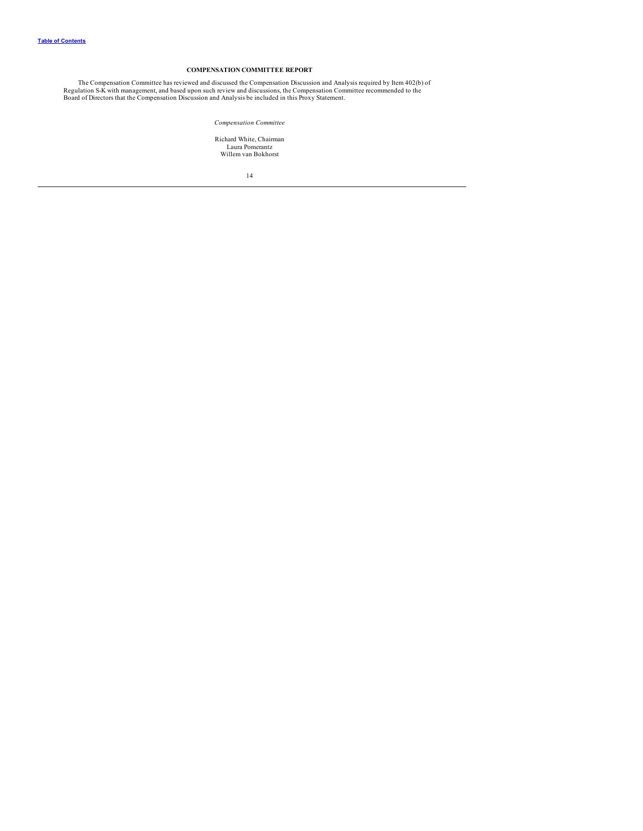## **COMPENSATION COMMITTEE REPORT**

<span id="page-16-0"></span>The Compensation Committee has reviewed and discussed the Compensation Discussion and Analysis required by Item 402(b) of<br>Regulation S-K with management, and based upon such review and discussions, the Compensation Committ

*Compensation Committee*

Richard White, Chairman Laura Pomerantz Willem van Bokhorst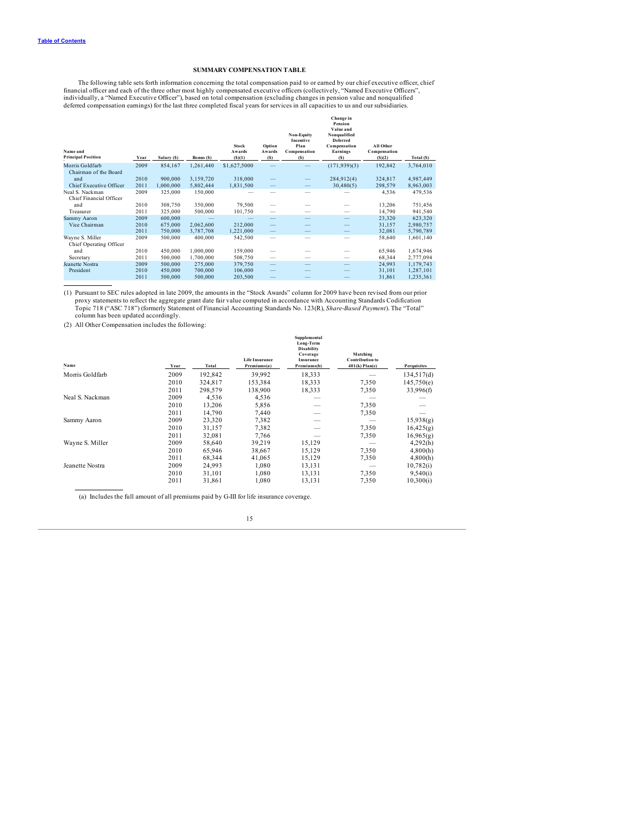## **SUMMARY COMPENSATION TABLE**

<span id="page-17-0"></span>The following table sets forth information concerning the total compensation paid to or earned by our chief executive officer, chief<br>financial officer and each of the three other most highly compensated executive officers

| Name and<br><b>Principal Position</b>      | Year | Salary (\$) | Bonus (S) | <b>Stock</b><br>Awards<br>(S)(1) | Option<br>Awards<br>(S)  | <b>Non-Equity</b><br>Incentive<br>Plan<br>Compensation<br>(S) | Change in<br>Pension<br>Value and<br>Nonqualified<br><b>Deferred</b><br>Compensation<br><b>Earnings</b><br>(S) | All Other<br>Compensation<br>(S)(2) | Total (\$) |
|--------------------------------------------|------|-------------|-----------|----------------------------------|--------------------------|---------------------------------------------------------------|----------------------------------------------------------------------------------------------------------------|-------------------------------------|------------|
| Morris Goldfarb<br>Chairman of the Board   | 2009 | 854,167     | 1,261,440 | \$1,627,5000                     |                          |                                                               | (171, 939)(3)                                                                                                  | 192,842                             | 3,764,010  |
| and                                        | 2010 | 900,000     | 3,159,720 | 318,000                          |                          | $\overline{\phantom{0}}$                                      | 284,912(4)                                                                                                     | 324.817                             | 4,987,449  |
| Chief Executive Officer                    | 2011 | 1,000,000   | 5,802,444 | 1,831,500                        | $\overline{\phantom{0}}$ |                                                               | 30,480(5)                                                                                                      | 298,579                             | 8,963,003  |
| Neal S. Nackman<br>Chief Financial Officer | 2009 | 325,000     | 150,000   |                                  |                          |                                                               |                                                                                                                | 4,536                               | 479,536    |
| and                                        | 2010 | 308,750     | 350,000   | 79,500                           |                          |                                                               |                                                                                                                | 13,206                              | 751,456    |
| Treasurer                                  | 2011 | 325,000     | 500,000   | 101,750                          | -                        |                                                               |                                                                                                                | 14,790                              | 941,540    |
| Sammy Aaron                                | 2009 | 600,000     |           |                                  |                          |                                                               |                                                                                                                | 23,320                              | 623,320    |
| Vice Chairman                              | 2010 | 675,000     | 2,062,600 | 212,000                          | $\qquad \qquad -$        |                                                               |                                                                                                                | 31,157                              | 2,980,757  |
|                                            | 2011 | 750,000     | 3.787.708 | 1,221,000                        | $\overline{\phantom{0}}$ |                                                               |                                                                                                                | 32,081                              | 5,790,789  |
| Wayne S. Miller<br>Chief Operating Officer | 2009 | 500,000     | 400,000   | 542,500                          |                          |                                                               |                                                                                                                | 58,640                              | 1,601,140  |
| and                                        | 2010 | 450,000     | 1,000,000 | 159,000                          |                          |                                                               |                                                                                                                | 65,946                              | 1,674,946  |
| Secretary                                  | 2011 | 500,000     | 1.700.000 | 508,750                          | -                        | --                                                            | $\overline{\phantom{a}}$                                                                                       | 68,344                              | 2,777,094  |
| Jeanette Nostra                            | 2009 | 500,000     | 275,000   | 379,750                          | $\qquad \qquad -$        |                                                               |                                                                                                                | 24,993                              | 1,179,743  |
| President                                  | 2010 | 450,000     | 700,000   | 106,000                          |                          |                                                               |                                                                                                                | 31,101                              | 1,287,101  |
|                                            | 2011 | 500,000     | 500,000   | 203,500                          |                          |                                                               |                                                                                                                | 31,861                              | 1,235,361  |

(1) Pursuant to SEC rules adopted in late 2009, the amounts in the "Stock Awards" column for 2009 have been revised from our prior proxy statements to reflect the aggregate grant date fair value computed in accordance with Accounting Standards Codification<br>Topic 718 ("ASC 718") (formerly Statement of Financial Accounting Standards No. 123(R), Share-Ba column has been updated accordingly.

(2) All Other Compensation includes the following:

| Name            | Year | Total   | <b>Life Insurance</b><br>Premiums(a) | Supplemental<br>Long-Term<br><b>Disability</b><br>Coverage<br>Insurance<br>Premiums(b) | Matching<br><b>Contribution to</b><br>$401(k)$ Plan(c) | Perquisites |
|-----------------|------|---------|--------------------------------------|----------------------------------------------------------------------------------------|--------------------------------------------------------|-------------|
| Morris Goldfarb | 2009 | 192,842 | 39,992                               | 18,333                                                                                 |                                                        | 134,517(d)  |
|                 | 2010 | 324,817 | 153.384                              | 18,333                                                                                 | 7,350                                                  | 145,750(e)  |
|                 | 2011 | 298,579 | 138,900                              | 18,333                                                                                 | 7,350                                                  | 33,996(f)   |
| Neal S. Nackman | 2009 | 4,536   | 4,536                                |                                                                                        |                                                        |             |
|                 | 2010 | 13.206  | 5,856                                | -                                                                                      | 7,350                                                  |             |
|                 | 2011 | 14,790  | 7.440                                | $\sim$                                                                                 | 7,350                                                  |             |
| Sammy Aaron     | 2009 | 23,320  | 7.382                                | --                                                                                     |                                                        | 15,938(g)   |
|                 | 2010 | 31,157  | 7,382                                |                                                                                        | 7,350                                                  | 16,425(g)   |
|                 | 2011 | 32,081  | 7.766                                |                                                                                        | 7,350                                                  | 16,965(g)   |
| Wayne S. Miller | 2009 | 58,640  | 39,219                               | 15,129                                                                                 |                                                        | 4,292(h)    |
|                 | 2010 | 65,946  | 38,667                               | 15,129                                                                                 | 7,350                                                  | 4,800(h)    |
|                 | 2011 | 68,344  | 41,065                               | 15,129                                                                                 | 7,350                                                  | 4,800(h)    |
| Jeanette Nostra | 2009 | 24,993  | 1,080                                | 13,131                                                                                 |                                                        | 10,782(i)   |
|                 | 2010 | 31,101  | 1,080                                | 13,131                                                                                 | 7,350                                                  | 9,540(i)    |
|                 | 2011 | 31,861  | 1,080                                | 13,131                                                                                 | 7,350                                                  | 10,300(i)   |

(a) Includes the full amount of all premiums paid by G-III for life insurance coverage.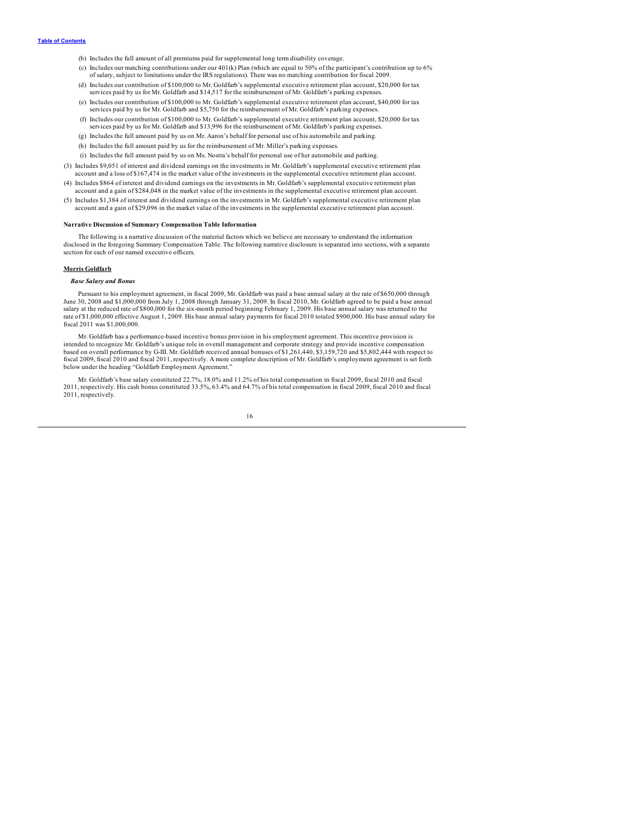- (b) Includes the full amount of all premiums paid for supplemental long term disability coverage.
- (c) Includes our matching contributions under our 401(k) Plan (which are equal to 50% of the participant's contribution up to 6% of salary, subject to limitations under the IRS regulations). There was no matching contribution for fiscal 2009.
- (d) Includes our contribution of \$100,000 to Mr. Goldfarb's supplemental executive retirement plan account, \$20,000 for tax services paid by us for Mr. Goldfarb and \$14,517 for the reimbursement of Mr. Goldfarb's parking expenses.
- (e) Includes our contribution of \$100,000 to Mr. Goldfarb's supplemental executive retirement plan account, \$40,000 for tax services paid by us for Mr. Goldfarb and \$5,750 for the reimbursement of Mr. Goldfarb's parking expenses.
- (f) Includes our contribution of \$100,000 to Mr. Goldfarb's supplemental executive retirement plan account, \$20,000 for tax services paid by us for Mr. Goldfarb and \$13,996 for the reimbursement of Mr. Goldfarb's parking expenses. (g) Includes the full amount paid by us on Mr. Aaron's behalf for personal use of his automobile and parking.
- 
- (h) Includes the full amount paid by us for the reimbursement of Mr. Miller's parking expenses.
- (i) Includes the full amount paid by us on Ms. Nostra's behalf for personal use of her automobile and parking.
- (3) Includes \$9,051 of interest and dividend earnings on the investments in Mr. Goldfarb's supplemental executive retirement plan account and a loss of \$167,474 in the market value of the investments in the supplemental executive retirement plan account.
- (4) Includes \$864 of interest and dividend earnings on the investments in Mr. Goldfarb's supplemental executive retirement plan account and a gain of \$284,048 in the market value of the investments in the supplemental executive retirement plan account.
- (5) Includes \$1,384 of interest and dividend earnings on the investments in Mr. Goldfarb's supplemental executive retirement plan account and a gain of \$29,096 in the market value of the investments in the supplemental executive retirement plan account.

## **Narrative Discussion of Summary Compensation Table Information**

The following is a narrative discussion of the material factors which we believe are necessary to understand the information disclosed in the foregoing Summary Compensation Table. The following narrative disclosure is separated into sections, with a separate section for each of our named executive officers.

## **Morris Goldfarb**

## *Base Salary and Bonus*

Pursuant to his employment agreement, in fiscal 2009, Mr. Goldfarb was paid a base annual salary at the rate of \$650,000 through June 30, 2008 and \$1,000,000 from July 1, 2008 through January 31, 2009. In fiscal 2010, Mr. Goldfarb agreed to be paid a base annual salary at the reduced rate of \$800,000 for the six-month period beginning February 1, 2009. His base annual salary was returned to the<br>rate of \$1,000,000 effective August 1, 2009. His base annual salary payments for fiscal fiscal 2011 was \$1,000,000.

Mr. Goldfarb has a performance-based incentive bonus provision in his employment agreement. This incentive provision is<br>intended to recognize Mr. Goldfarb's unique role in overall management and corporate strategy and prov based on overall performance by G-III. Mr. Goldfarb received annual bonuses of \$1,261,440, \$3,159,720 and \$5,802,444 with respect to fiscal 2009, fiscal 2010 and fiscal 2011, respectively. A more complete description of Mr. Goldfarb's employment agreement is set forth below under the heading "Goldfarb Employment Agreement."

Mr. Goldfarb's base salary constituted 22.7%, 18.0% and 11.2% of his total compensation in fiscal 2009, fiscal 2010 and fiscal 2011, respectively. His cash bonus constituted 33.5%, 63.4% and 64.7% of his total compensation in fiscal 2009, fiscal 2010 and fiscal 2011, respectively.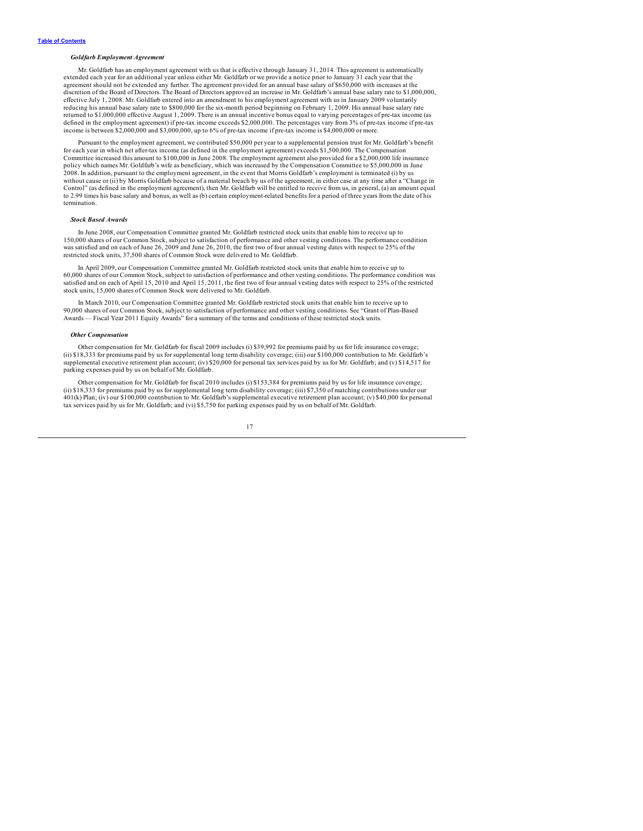## *Goldfarb Employment Agreement*

Mr. Goldfarb has an employment agreement with us that is effective through January 31, 2014. This agreement is automatically extended each year for an additional year unless either Mr. Goldfarb or we provide a notice prior to January 31 each year that the agreement should not be extended any further. The agreement provided for an annual base salary of \$650,000 with increases at the<br>discretion of the Board of Directors. The Board of Directors approved an increase in Mr. Gold effective July 1, 2008. Mr. Goldfarb entered into an amendment to his employment agreement with us in January 2009 voluntarily reducing his annual base salary rate to \$800,000 for the six-month period beginning on February 1, 2009. His annual base salary rate retumed to \$1,000,000 effective August 1, 2009. There is an annual incentive bonus equal to varying percentages of pre-tax income (as<br>defined in the employment agreement) if pre-tax income exceeds \$2,000,000. The percentag

Pursuant to the employment agreement, we contributed \$50,000 per year to a supplemental pension trust for Mr. Goldfarb's benefit for each year in which net after-tax income (as defined in the employment agreement) exceeds \$1,500,000. The Compensation Committee increased this amount to \$100,000 in June 2008. The employment agreement also provided for a \$2,000,000 life insurance policy which names Mr. Goldfarb's wife as beneficiary, which was increased by the Compensation Committee to \$5,000,000 in June 2008. In addition, pursuant to the employment agreement, in the event that Morris Goldfarb's employment is terminated (i) by us<br>without cause or (ii) by Morris Goldfarb because of a material breach by us of the agreement, Control" (as defined in the employment agreement), then Mr. Goldfarb will be entitled to receive from us, in general, (a) an amount equal to 2.99 times his base salary and bonus, as well as (b) certain employment-related benefits for a period of three years from the date of his termination.

## *Stock Based Awards*

In June 2008, our Compensation Committee granted Mr. Goldfarb restricted stock units that enable him to receive up to 150,000 shares of our Common Stock, subject to satisfaction of performance and other vesting conditions. The performance condition<br>was satisfied and on each of June 26, 2009 and June 26, 2010, the first two of four annual restricted stock units, 37,500 shares of Common Stock were delivered to Mr. Goldfarb.

In April 2009, our Compensation Committee granted Mr. Goldfarb restricted stock units that enable him to receive up to 60,000 shares of our Common Stock, subject to satisfaction of performance and other vesting conditions. The performance condition was<br>satisfied and on each of April 15, 2010 and April 15, 2011, the first two of four annual stock units, 15,000 shares of Common Stock were delivered to Mr. Goldfarb.

In March 2010, our Compensation Committee granted Mr. Goldfarb restricted stock units that enable him to receive up to 90,000 shares of our Common Stock, subject to satisfaction of performance and other vesting conditions. See "Grant of Plan-Based Awards — Fiscal Year 2011 Equity Awards" for a summary of the terms and conditions of these restricted stock units.

#### *Other Compensation*

Other compensation for Mr. Goldfarb for fiscal 2009 includes (i) \$39,992 for premiums paid by us for life insurance coverage; (ii) \$18,333 for premiums paid by us for supplemental long term disability coverage; (iii) our \$100,000 contribution to Mr. Goldfarb's supplemental executive retirement plan account; (iv) \$20,000 for personal tax services paid by us for Mr. Goldfarb; and (v) \$14,517 for parking expenses paid by us on behalf of Mr. Goldfarb.

Other compensation for Mr. Goldfarb for fiscal 2010 includes (i) \$153,384 for premiums paid by us for life insurance coverage; (ii) \$18,333 for premiums paid by us for supplemental long term disability coverage; (iii) \$7,350 of matching contributions under our 401(k) Plan; (iv) our \$100,000 contribution to Mr. Goldfarb's supplemental executive retirement plan account; (v) \$40,000 for personal tax services paid by us for Mr. Goldfarb; and (vi) \$5,750 for parking expenses paid by us on behalf of Mr. Goldfarb.

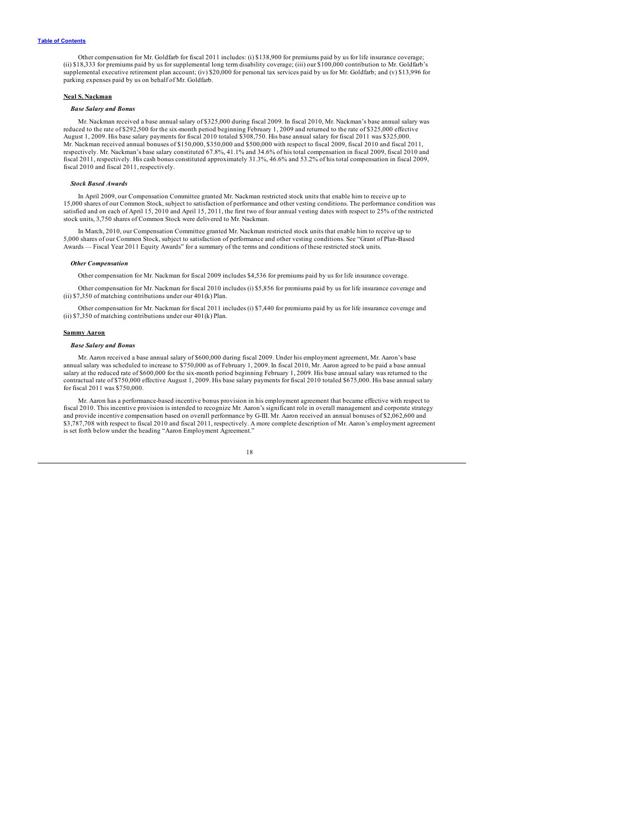Other compensation for Mr. Goldfarb for fiscal 2011 includes: (i) \$138,900 for premiums paid by us for life insurance coverage; (ii) \$18,333 for premiums paid by us for supplemental long term disability coverage; (iii) our \$100,000 contribution to Mr. Goldfarb's<br>supplemental executive retirement plan account; (iv) \$20,000 for personal tax services parking expenses paid by us on behalf of Mr. Goldfarb.

## **Neal S. Nackman**

## *Base Salary and Bonus*

Mr. Nackman received a base annual salary of \$325,000 during fiscal 2009. In fiscal 2010, Mr. Nackman's base annual salary was reduced to the rate of \$292,500 for the six-month period beginning February 1, 2009 and returned to the rate of \$325,000 effective<br>August 1, 2009. His base salary payments for fiscal 2010 totaled \$308,750. His base annual Mr. Nackman received annual bonuses of \$150,000, \$350,000 and \$500,000 with respect to fiscal 2009, fiscal 2010 and fiscal 2011, respectively. Mr. Nackman's base salary constituted 67.8%, 41.1% and 34.6% of his total compensation in fiscal 2009, fiscal 2010 and fiscal 2011, respectively. His cash bonus constituted approximately 31.3%, 46.6% and 53.2% of his total compensation in fiscal 2009, fiscal 2010 and fiscal 2011, respectively.

## *Stock Based Awards*

In April 2009, our Compensation Committee granted Mr. Nackman restricted stock units that enable him to receive up to 15,000 shares of our Common Stock, subject to satisfaction of performance and other vesting conditions. The performance condition was<br>satisfied and on each of April 15, 2010 and April 15, 2011, the first two of four annual stock units, 3,750 shares of Common Stock were delivered to Mr. Nackman.

In March, 2010, our Compensation Committee granted Mr. Nackman restricted stock units that enable him to receive up to 5,000 shares of our Common Stock, subject to satisfaction of performance and other vesting conditions. See "Grant of Plan-Based<br>Awards — Fiscal Year 2011 Equity Awards" for a summary of the terms and conditions of these re

#### *Other Compensation*

Other compensation for Mr. Nackman for fiscal 2009 includes \$4,536 for premiums paid by us for life insurance coverage.

Other compensation for Mr. Nackman for fiscal 2010 includes (i) \$5,856 for premiums paid by us for life insurance coverage and (ii) \$7,350 of matching contributions under our 401(k) Plan.

Other compensation for Mr. Nackman for fiscal 2011 includes (i) \$7,440 for premiums paid by us for life insurance coverage and (ii) \$7,350 of matching contributions under our 401(k) Plan.

#### **Sammy Aaron**

## *Base Salary and Bonus*

Mr. Aaron received a base annual salary of \$600,000 during fiscal 2009. Under his employment agreement, Mr. Aaron's base annual salary was scheduled to increase to \$750,000 as of February 1, 2009. In fiscal 2010, Mr. Aaron agreed to be paid a base annual salary at the reduced rate of \$600,000 for the six-month period beginning February 1, 2009. His base annual salary was returned to the<br>contractual rate of \$750,000 effective August 1, 2009. His base salary payments for fis for fiscal 2011 was \$750,000.

Mr. Aaron has a performance-based incentive bonus provision in his employment agreement that became effective with respect to fiscal 2010. This incentive provision is intended to recognize Mr. Aaron's significant role in overall management and corporate strategy<br>and provide incentive compensation based on overall performance by G-III. Mr. Aaron r \$3,787,708 with respect to fiscal 2010 and fiscal 2011, respectively. A more complete description of Mr. Aaron's employment agreement is set forth below under the heading "Aaron Employment Agreement."

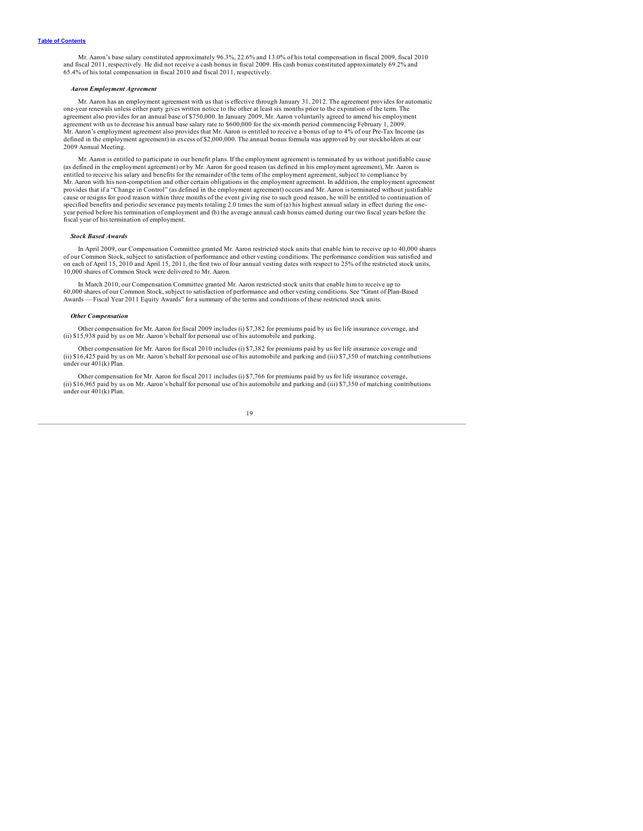Mr. Aaron's base salary constituted approximately 96.3%, 22.6% and 13.0% of his total compensation in fiscal 2009, fiscal 2010<br>and fiscal 2011, respectively. He did not receive a cash bonus in fiscal 2009. His cash bonus c 65.4% of his total compensation in fiscal 2010 and fiscal 2011, respectively.

#### *Aaron Employment Agreement*

Mr. Aaron has an employment agreement with us that is effective through January 31, 2012. The agreement provides for automatic one-year renewals unless either party gives written notice to the other at least six months prior to the expiration of the term. The agreement also provides for an annual base of \$750,000. In January 2009, Mr. Aaron voluntarily agreed to amend his employment agreement with us to decrease his annual base salary rate to \$600,000 for the six-month period commencing February 1, 2009. Mr. Aaron's employment agreement also provides that Mr. Aaron is entitled to receive a bonus of up to 4% of our Pre-Tax Income (as defined in the employment agreement) in excess of \$2,000,000. The annual bonus formula was approved by our stockholders at our 2009 Annual Meeting.

Mr. Aaron is entitled to participate in our benefit plans. If the employment agreement is terminated by us without justifiable cause (as defined in the employment agreement) or by Mr. Aaron for good reason (as defined in his employment agreement), Mr. Aaron is entitled to receive his salary and benefits for the remainder of the term of the employment agreement, subject to compliance by Mr. Aaron with his non-competition and other certain obligations in the employment agreement. In addition, the employment agreement provides that if a "Change in Control" (as defined in the employment agreement) occurs and Mr. Aaron is terminated without justifiable<br>cause or resigns for good reason within three months of the event giving rise to such g specified benefits and periodic severance payments totaling 2.0 times the sum of (a) his highest annual salary in effect during the oneyear period before his termination of employment and (b) the average annual cash bonus earned during our two fiscal years before the fiscal year of his termination of employment.

## *Stock Based Awards*

In April 2009, our Compensation Committee granted Mr. Aaron restricted stock units that enable him to receive up to 40,000 shares of our Common Stock, subject to satisfaction of performance and other vesting conditions. The performance condition was satisfied and<br>on each of April 15, 2010 and April 15, 2011, the first two of four annual vesting dates 10,000 shares of Common Stock were delivered to Mr. Aaron.

In March 2010, our Compensation Committee granted Mr. Aaron restricted stock units that enable him to receive up to 60,000 shares of our Common Stock, subject to satisfaction of performance and other vesting conditions. See "Grant of Plan-Based<br>Awards — Fiscal Year 2011 Equity Awards" for a summary of the terms and conditions of these r

#### *Other Compensation*

Other compensation for Mr. Aaron for fiscal 2009 includes (i) \$7,382 for premiums paid by us for life insurance coverage, and (ii) \$15,938 paid by us on Mr. Aaron's behalf for personal use of his automobile and parking.

Other compensation for Mr. Aaron for fiscal 2010 includes (i) \$7,382 for premiums paid by us for life insurance coverage and (ii) \$16,425 paid by us on Mr. Aaron's behalf for personal use of his automobile and parking and (iii) \$7,350 of matching contributions under our 401(k) Plan.

Other compensation for Mr. Aaron for fiscal 2011 includes (i) \$7,766 for premiums paid by us for life insurance coverage, (ii) \$16,965 paid by us on Mr. Aaron's behalf for personal use of his automobile and parking and (iii) \$7,350 of matching contributions under our 401(k) Plan.

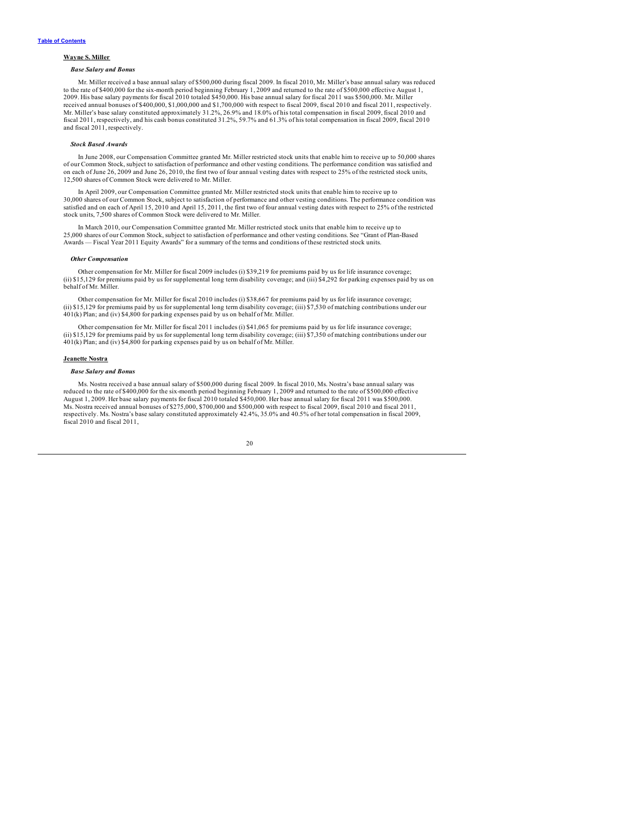## **Wayne S. Miller**

## *Base Salary and Bonus*

Mr. Miller received a base annual salary of \$500,000 during fiscal 2009. In fiscal 2010, Mr. Miller's base annual salary was reduced to the rate of \$400,000 for the six-month period beginning February 1, 2009 and returned to the rate of \$500,000 effective August 1,<br>2009. His base salary payments for fiscal 2010 totaled \$450,000. His base annual salary f received annual bonuses of \$400,000, \$1,000,000 and \$1,700,000 with respect to fiscal 2009, fiscal 2010 and fiscal 2011, respectively. Mr. Miller's base salary constituted approximately 31.2%, 26.9% and 18.0% of his total compensation in fiscal 2009, fiscal 2010 and fiscal 2011, respectively, and his cash bonus constituted 31.2%, 59.7% and 61.3% of his total compensation in fiscal 2009, fiscal 2010 and fiscal 2011, respectively.

## *Stock Based Awards*

In June 2008, our Compensation Committee granted Mr. Miller restricted stock units that enable him to receive up to 50,000 shares of our Common Stock, subject to satisfaction of performance and other vesting conditions. The performance condition was satisfied and<br>on each of June 26, 2009 and June 26, 2010, the first two of four annual vesting dates w 12,500 shares of Common Stock were delivered to Mr. Miller.

In April 2009, our Compensation Committee granted Mr. Miller restricted stock units that enable him to receive up to 30,000 shares of our Common Stock, subject to satisfaction of performance and other vesting conditions. The performance condition was satisfied and on each of April 15, 2010 and April 15, 2011, the first two of four annual vesting dates with respect to 25% of the restricted stock units, 7,500 shares of Common Stock were delivered to Mr. Miller.

In March 2010, our Compensation Committee granted Mr. Miller restricted stock units that enable him to receive up to 25,000 shares of our Common Stock, subject to satisfaction of performance and other vesting conditions. See "Grant of Plan-Based Awards — Fiscal Year 2011 Equity Awards" for a summary of the terms and conditions of these restricted stock units.

#### *Other Compensation*

Other compensation for Mr. Miller for fiscal 2009 includes (i) \$39,219 for premiums paid by us for life insurance coverage; (ii) \$15,129 for premiums paid by us for supplemental long term disability coverage; and (iii) \$4,292 for parking expenses paid by us on behalf of Mr. Miller.

Other compensation for Mr. Miller for fiscal 2010 includes (i) \$38,667 for premiums paid by us for life insurance coverage; (ii) \$15,129 for premiums paid by us for supplemental long term disability coverage; (iii) \$7,530 of matching contributions under our 401(k) Plan; and (iv) \$4,800 for parking expenses paid by us on behalf of Mr. Miller.

Other compensation for Mr. Miller for fiscal 2011 includes (i) \$41,065 for premiums paid by us for life insurance coverage; (ii) \$15,129 for premiums paid by us for supplemental long term disability coverage; (iii) \$7,350 of matching contributions under our 401(k) Plan; and (iv) \$4,800 for parking expenses paid by us on behalf of Mr. Miller.

## **Jeanette Nostra**

#### *Base Salary and Bonus*

Ms. Nostra received a base annual salary of \$500,000 during fiscal 2009. In fiscal 2010, Ms. Nostra's base annual salary was reduced to the rate of \$400,000 for the six-month period beginning February 1, 2009 and returned August 1, 2009. Her base salary payments for fiscal 2010 totaled \$450,000. Her base annual salary for fiscal 2011 was \$500,000. Ms. Nostra received annual bonuses of \$275,000, \$700,000 and \$500,000 with respect to fiscal 2009, fiscal 2010 and fiscal 2011,<br>respectively. Ms. Nostra's base salary constituted approximately 42.4%, 35.0% and 40.5% of her fiscal 2010 and fiscal 2011,

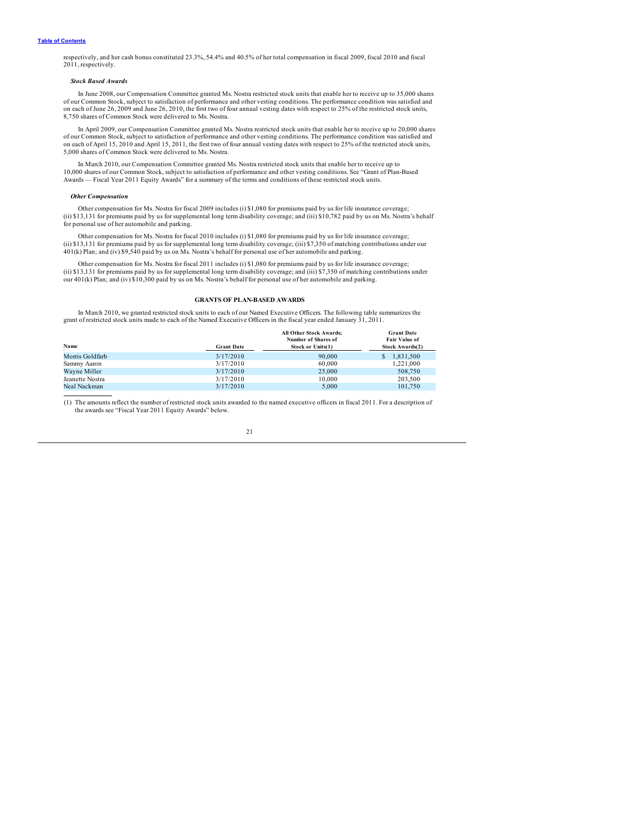<span id="page-23-0"></span>respectively, and her cash bonus constituted 23.3%, 54.4% and 40.5% of her total compensation in fiscal 2009, fiscal 2010 and fiscal 2011, respectively.

## *Stock Based Awards*

In June 2008, our Compensation Committee granted Ms. Nostra restricted stock units that enable her to receive up to 35,000 shares of our Common Stock, subject to satisfaction of performance and other vesting conditions. The performance condition was satisfied and<br>on each of June 26, 2009 and June 26, 2010, the first two of four annual vesting dates w 8,750 shares of Common Stock were delivered to Ms. Nostra.

In April 2009, our Compensation Committee granted Ms. Nostra restricted stock units that enable her to receive up to 20,000 shares of our Common Stock, subject to satisfaction of performance and other vesting conditions. The performance condition was satisfied and<br>on each of April 15, 2010 and April 15, 2011, the first two of four annual vesting dates 5,000 shares of Common Stock were delivered to Ms. Nostra.

In March 2010, our Compensation Committee granted Ms. Nostra restricted stock units that enable her to receive up to<br>10,000 shares of our Common Stock, subject to satisfaction of performance and other vesting conditions. S Awards — Fiscal Year 2011 Equity Awards" for a summary of the terms and conditions of these restricted stock units.

#### *Other Compensation*

Other compensation for Ms. Nostra for fiscal 2009 includes (i) \$1,080 for premiums paid by us for life insurance coverage; (ii) \$13,131 for premiums paid by us for supplemental long term disability coverage; and (iii) \$10,782 paid by us on Ms. Nostra's behalf for personal use of her automobile and parking.

Other compensation for Ms. Nostra for fiscal 2010 includes (i) \$1,080 for premiums paid by us for life insurance coverage; (ii) \$13,131 for premiums paid by us for supplemental long term disability coverage; (iii) \$7,350 of matching contributions under our 401(k) Plan; and (iv) \$9,540 paid by us on Ms. Nostra's behalf for personal use of her automobile and parking.

Other compensation for Ms. Nostra for fiscal 2011 includes (i) \$1,080 for premiums paid by us for life insurance coverage;<br>(ii) \$13,131 for premiums paid by us for supplemental long term disability coverage; and (iii) \$7,3 our 401(k) Plan; and (iv) \$10,300 paid by us on Ms. Nostra's behalf for personal use of her automobile and parking.

## **GRANTS OF PLAN-BASED AWARDS**

In March 2010, we granted restricted stock units to each of our Named Executive Officers. The following table summarizes the grant of restricted stock units made to each of the Named Executive Officers in the fiscal year ended January 31, 2011.

|                   | All Other Stock Awards;<br>Number of Shares of | <b>Grant Date</b><br><b>Fair Value of</b> |
|-------------------|------------------------------------------------|-------------------------------------------|
| <b>Grant Date</b> | <b>Stock or Units(1)</b>                       | <b>Stock Awards(2)</b>                    |
| 3/17/2010         | 90,000                                         | 1.831.500<br>\$                           |
| 3/17/2010         | 60,000                                         | 1.221.000                                 |
| 3/17/2010         | 25,000                                         | 508,750                                   |
| 3/17/2010         | 10.000                                         | 203,500                                   |
| 3/17/2010         | 5.000                                          | 101.750                                   |
|                   |                                                |                                           |

(1) The amounts reflect the number of restricted stock units awarded to the named executive officers in fiscal 2011. For a description of the awards see "Fiscal Year 2011 Equity Awards" below.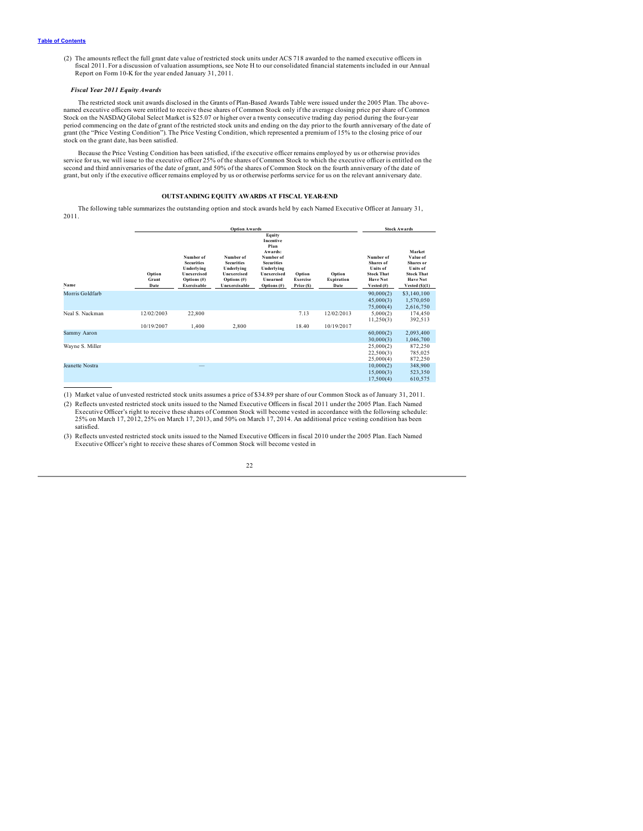<span id="page-24-0"></span>(2) The amounts reflect the full grant date value of restricted stock units under ACS 718 awarded to the named executive officers in fiscal 2011. For a discussion of valuation assumptions, see Note H to our consolidated financial statements included in our Annual Report on Form 10-K for the year ended January 31, 2011.

## *Fiscal Year 2011 Equity Awards*

The restricted stock unit awards disclosed in the Grants of Plan-Based Awards Table were issued under the 2005 Plan. The abovenamed executive officers were entitled to receive these shares of Common Stock only if the average closing price per share of Common Stock on the NASDAQ Global Select Market is \$25.07 or higher over a twenty consecutive trading day period during the four-year<br>period commencing on the date of grant of the restricted stock units and ending on the day prio grant (the "Price Vesting Condition"). The Price Vesting Condition, which represented a premium of 15% to the closing price of our stock on the grant date, has been satisfied.

Because the Price Vesting Condition has been satisfied, if the executive officer remains employed by us or otherwise provides service for us, we will issue to the executive officer 25% of the shares of Common Stock to which the executive officer is entitled on the second and third anniversaries of the date of grant, and 50% of the shares of Common Stock on the fourth anniversary of the date of grant, but only if the executive officer remains employed by us or otherwise performs service for us on the relevant anniversary date.

## **OUTSTANDING EQUITY AWARDS AT FISCAL YEAR-END**

The following table summarizes the outstanding option and stock awards held by each Named Executive Officer at January 31, 2011.

|                 | <b>Option Awards</b>    |                                                                                           |                                                                                                |                                                                                                                                            |                                  |                                     |                                                                                                    | <b>Stock Awards</b>                                                                                    |
|-----------------|-------------------------|-------------------------------------------------------------------------------------------|------------------------------------------------------------------------------------------------|--------------------------------------------------------------------------------------------------------------------------------------------|----------------------------------|-------------------------------------|----------------------------------------------------------------------------------------------------|--------------------------------------------------------------------------------------------------------|
| Name            | Option<br>Grant<br>Date | Number of<br><b>Securities</b><br>Underlying<br>Unexercised<br>Options (#)<br>Exercisable | Number of<br><b>Securities</b><br>Underlying<br>Unexercised<br>Options $(\#)$<br>Unexercisable | Equity<br>Incentive<br>Plan<br>Awards:<br>Number of<br><b>Securities</b><br>Underlying<br>Unexercised<br><b>Unearned</b><br>Options $(\#)$ | Option<br>Exercise<br>Price (\$) | Option<br><b>Expiration</b><br>Date | Number of<br>Shares of<br><b>Units</b> of<br><b>Stock That</b><br><b>Have Not</b><br>Vested $(\#)$ | Market<br>Value of<br>Shares or<br>Units of<br><b>Stock That</b><br><b>Have Not</b><br>Vested $(S)(1)$ |
| Morris Goldfarb |                         |                                                                                           |                                                                                                |                                                                                                                                            |                                  |                                     | 90,000(2)<br>45,000(3)<br>75,000(4)                                                                | \$3,140,100<br>1,570,050<br>2,616,750                                                                  |
| Neal S. Nackman | 12/02/2003              | 22,800                                                                                    |                                                                                                |                                                                                                                                            | 7.13                             | 12/02/2013                          | 5,000(2)<br>11,250(3)                                                                              | 174,450<br>392,513                                                                                     |
|                 | 10/19/2007              | 1,400                                                                                     | 2,800                                                                                          |                                                                                                                                            | 18.40                            | 10/19/2017                          |                                                                                                    |                                                                                                        |
| Sammy Aaron     |                         |                                                                                           |                                                                                                |                                                                                                                                            |                                  |                                     | 60,000(2)<br>30,000(3)                                                                             | 2,093,400<br>1,046,700                                                                                 |
| Wayne S. Miller |                         |                                                                                           |                                                                                                |                                                                                                                                            |                                  |                                     | 25,000(2)<br>22,500(3)<br>25,000(4)                                                                | 872,250<br>785,025<br>872,250                                                                          |
| Jeanette Nostra |                         |                                                                                           |                                                                                                |                                                                                                                                            |                                  |                                     | 10,000(2)<br>15,000(3)<br>17,500(4)                                                                | 348,900<br>523,350<br>610,575                                                                          |

(1) Market value of unvested restricted stock units assumes a price of \$34.89 per share of our Common Stock as of January 31, 2011.

(2) Reflects unvested restricted stock units issued to the Named Executive Officers in fiscal 2011 under the 2005 Plan. Each Named Executive Officer's right to receive these shares of Common Stock will become vested in accordance with the following schedule: 25% on March 17, 2012, 25% on March 17, 2013, and 50% on March 17, 2014. An additional price vesting condition has been satisfied.

(3) Reflects unvested restricted stock units issued to the Named Executive Officers in fiscal 2010 under the 2005 Plan. Each Named Executive Officer's right to receive these shares of Common Stock will become vested in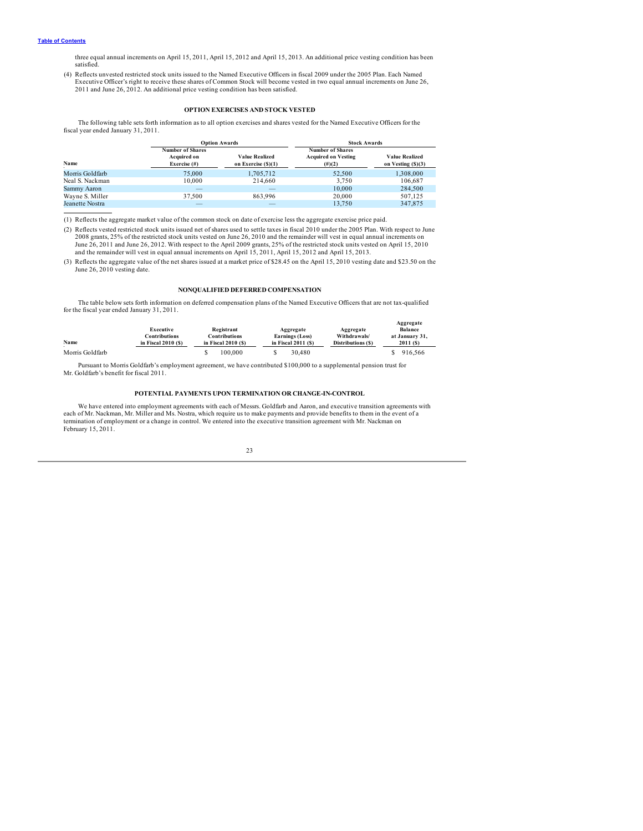<span id="page-25-0"></span>three equal annual increments on April 15, 2011, April 15, 2012 and April 15, 2013. An additional price vesting condition has been satisfied.

(4) Reflects unvested restricted stock units issued to the Named Executive Officers in fiscal 2009 under the 2005 Plan. Each Named Executive Officer's right to receive these shares of Common Stock will become vested in two equal annual increments on June 26, 2011 and June 26, 2012. An additional price vesting condition has been satisfied.

## **OPTION EXERCISES AND STOCK VESTED**

The following table sets forth information as to all option exercises and shares vested for the Named Executive Officers for the fiscal year ended January 31, 2011.

|                 | <b>Option Awards</b>                                      |                                         | <b>Stock Awards</b>                                                |                                             |  |
|-----------------|-----------------------------------------------------------|-----------------------------------------|--------------------------------------------------------------------|---------------------------------------------|--|
| Name            | <b>Number of Shares</b><br>Acquired on<br>Exercise $(\#)$ | Value Realized<br>on Exercise $(\$)(1)$ | <b>Number of Shares</b><br><b>Acquired on Vesting</b><br>$(\#)(2)$ | <b>Value Realized</b><br>on Vesting (\$)(3) |  |
| Morris Goldfarb | 75,000                                                    | 1,705,712                               | 52.500                                                             | 1,308,000                                   |  |
| Neal S. Nackman | 10.000                                                    | 214,660                                 | 3.750                                                              | 106,687                                     |  |
| Sammy Aaron     | $\overline{\phantom{a}}$                                  | $-$                                     | 10,000                                                             | 284.500                                     |  |
| Wayne S. Miller | 37.500                                                    | 863.996                                 | 20,000                                                             | 507,125                                     |  |
| Jeanette Nostra | -                                                         | $-$                                     | 13.750                                                             | 347,875                                     |  |

(1) Reflects the aggregate market value of the common stock on date of exercise less the aggregate exercise price paid.

(2) Reflects vested restricted stock units issued net of shares used to settle taxes in fiscal 2010 under the 2005 Plan. With respect to June 2008 grants, 25% of the restricted stock units vested on June 26, 2010 and the remainder will vest in equal annual increments on June 26, 2011 and June 26, 2012. With respect to the April 2009 grants, 25% of the restricted stock units vested on April 15, 2010<br>and the remainder will vest in equal annual increments on April 15, 2011, April 15, 2012 an

(3) Reflects the aggregate value of the net shares issued at a market price of \$28.45 on the April 15, 2010 vesting date and \$23.50 on the June 26, 2010 vesting date.

## **NONQUALIFIED DEFERRED COMPENSATION**

The table below sets forth information on deferred compensation plans of the Named Executive Officers that are not tax-qualified for the fiscal year ended January 31, 2011.

| Name            | Executive<br>Contributions<br>in Fiscal $2010(S)$ | Registrant<br>Contributions<br>in Fiscal $2010(S)$ | Aggregate<br><b>Earnings (Loss)</b><br>in Fiscal $2011(S)$ | Aggregate<br>Withdrawals/<br>Distributions (\$) | Aggregate<br><b>Balance</b><br>at January 31.<br>$2011($ S) |
|-----------------|---------------------------------------------------|----------------------------------------------------|------------------------------------------------------------|-------------------------------------------------|-------------------------------------------------------------|
| Morris Goldfarb |                                                   | 100,000                                            | 30.480                                                     |                                                 | 916.566                                                     |

Pursuant to Morris Goldfarb's employment agreement, we have contributed \$100,000 to a supplemental pension trust for Mr. Goldfarb's benefit for fiscal 2011.

## **POTENTIAL PAYMENTS UPON TERMINATION OR CHANGE-IN-CONTROL**

We have entered into employment agreements with each of Messrs. Goldfarb and Aaron, and executive transition agreements with each of Mr. Nackman, Mr. Miller and Ms. Nostra, which require us to make payments and provide benefits to them in the event of a<br>termination of employment or a change in control. We entered into the executive transition ag February 15, 2011.

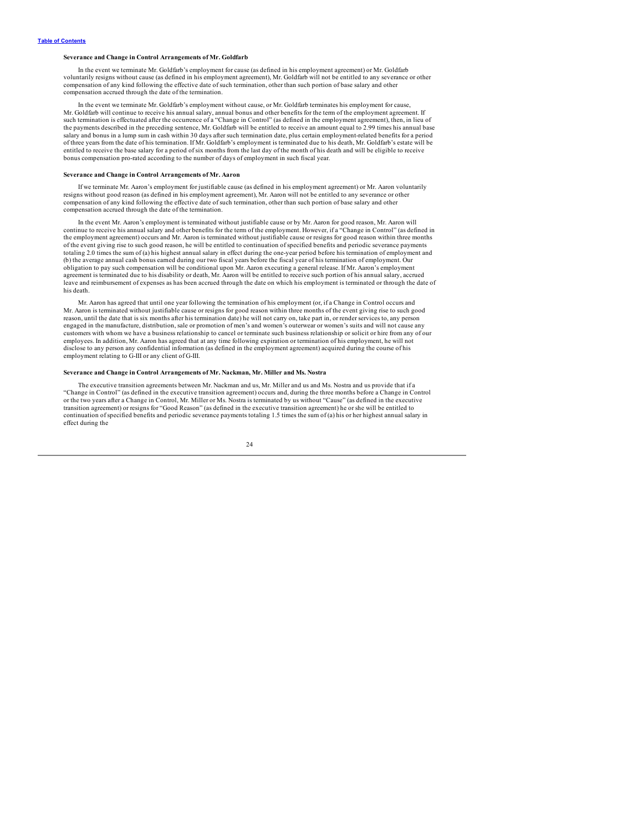## **Severance and Change in Control Arrangements of Mr. Goldfarb**

In the event we terminate Mr. Goldfarb's employment for cause (as defined in his employment agreement) or Mr. Goldfarb voluntarily resigns without cause (as defined in his employment agreement), Mr. Goldfarb will not be entitled to any severance or other compensation of any kind following the effective date of such termination, other than such portion of base salary and other compensation accrued through the date of the termination.

In the event we terminate Mr. Goldfarb's employment without cause, or Mr. Goldfarb terminates his employment for cause, Mr. Goldfarb will continue to receive his annual salary, annual bonus and other benefits for the term of the employment agreement. If such termination is effectuated after the occurrence of a "Change in Control" (as defined in the employment agreement), then, in lieu of<br>the payments described in the preceding sentence, Mr. Goldfarb will be entitled to re salary and bonus in a lump sum in cash within 30 days after such termination date, plus certain employment-related benefits for a period of three years from the date of his termination. If Mr. Goldfarb's employment is terminated due to his death, Mr. Goldfarb's estate will be entitled to receive the base salary for a period of six months from the last day of the month of his death and will be eligible to receive bonus compensation pro-rated according to the number of days of employment in such fiscal year.

## **Severance and Change in Control Arrangements of Mr. Aaron**

If we terminate Mr. Aaron's employment for justifiable cause (as defined in his employment agreement) or Mr. Aaron voluntarily resigns without good reason (as defined in his employment agreement), Mr. Aaron will not be ent compensation of any kind following the effective date of such termination, other than such portion of base salary and other compensation accrued through the date of the termination.

In the event Mr. Aaron's employment is terminated without justifiable cause or by Mr. Aaron for good reason, Mr. Aaron will continue to receive his annual salary and other benefits for the term of the employment. However, if a "Change in Control" (as defined in the employment agreement) occurs and Mr. Aaron is terminated without justifiable cause or resigns for good reason within three months of the event giving rise to such good reason, he will be entitled to continuation of specified benefits and periodic severance payments totaling 2.0 times the sum of (a) his highest annual salary in effect during the one-year period before his termination of employment and (b) the average annual cash bonus earned during our two fiscal years before the fiscal year of his termination of employment. Our obligation to pay such compensation will be conditional upon Mr. Aaron executing a general release. If Mr. Aaron's employment agreement is terminated due to his disability or death, Mr. Aaron will be entitled to receive such portion of his annual salary, accrued leave and reimbursement of expenses as has been accrued through the date on which his employment is terminated or through the date of his death.

Mr. Aaron has agreed that until one year following the termination of his employment (or, if a Change in Control occurs and Mr. Aaron is terminated without justifiable cause or resigns for good reason within three months of the event giving rise to such good reason, until the date that is six months after his termination date) he will not carry on, take part in, or render services to, any person engaged in the manufacture, distribution, sale or promotion of men's and women's outerwear or women's suits and will not cause any customers with whom we have a business relationship to cancel or terminate such business relationship or solicit or hire from any of our employees. In addition, Mr. Aaron has agreed that at any time following expiration or termination of his employment, he will not disclose to any person any confidential information (as defined in the employment agreement) acquired during the course of his employment relating to G-III or any client of G-III.

## **Severance and Change in Control Arrangements of Mr. Nackman, Mr. Miller and Ms. Nostra**

The executive transition agreements between Mr. Nackman and us, Mr. Miller and us and Ms. Nostra and us provide that if a "Change in Control" (as defined in the executive transition agreement) occurs and, during the three months before a Change in Control<br>or the two years after a Change in Control, Mr. Miller or Ms. Nostra is terminated by us transition agreement) or resigns for "Good Reason" (as defined in the executive transition agreement) he or she will be entitled to continuation of specified benefits and periodic severance payments totaling 1.5 times the sum of (a) his or her highest annual salary in effect during the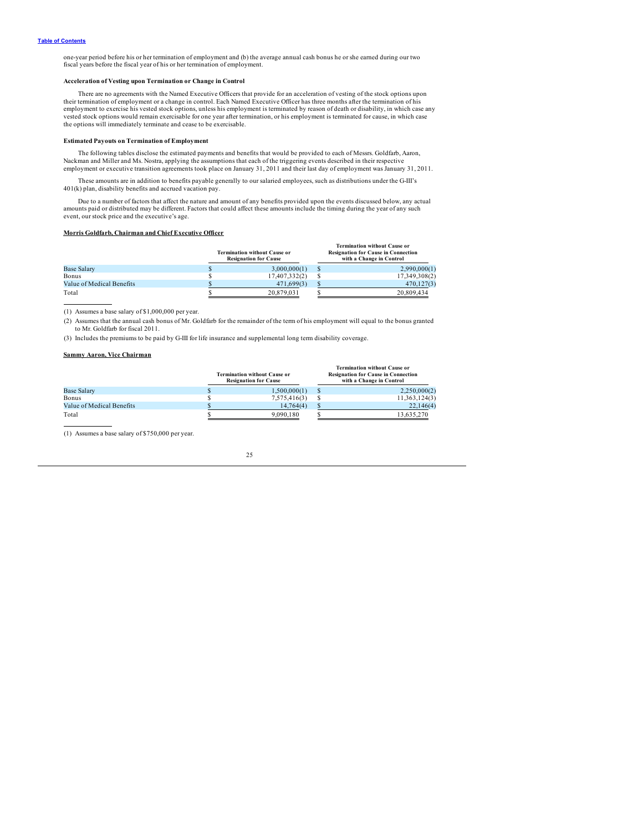one-year period before his or her termination of employment and (b) the average annual cash bonus he or she earned during our two fiscal years before the fiscal year of his or her termination of employment.

## **Acceleration of Vesting upon Termination or Change in Control**

There are no agreements with the Named Executive Officers that provide for an acceleration of vesting of the stock options upon their termination of employment or a change in control. Each Named Executive Officer has three months after the termination of his<br>employment to exercise his vested stock options, unless his employment is terminated by rea vested stock options would remain exercisable for one year after termination, or his employment is terminated for cause, in which case the options will immediately terminate and cease to be exercisable.

## **Estimated Payouts on Termination of Employment**

The following tables disclose the estimated payments and benefits that would be provided to each of Messrs. Goldfarb, Aaron,<br>Nackman and Miller and Ms. Nostra, applying the assumptions that each of the triggering events de employment or executive transition agreements took place on January 31, 2011 and their last day of employment was January 31, 2011.

These amounts are in addition to benefits payable generally to our salaried employees, such as distributions under the G-III's 401(k) plan, disability benefits and accrued vacation pay.

Due to a number of factors that affect the nature and amount of any benefits provided upon the events discussed below, any actual amounts paid or distributed may be different. Factors that could affect these amounts includ event, our stock price and the executive's age.

## **Morris Goldfarb, Chairman and Chief Executive Officer**

|                           | <b>Termination without Cause or</b><br><b>Resignation for Cause</b> | <b>Termination without Cause or</b><br><b>Resignation for Cause in Connection</b><br>with a Change in Control |
|---------------------------|---------------------------------------------------------------------|---------------------------------------------------------------------------------------------------------------|
| <b>Base Salary</b>        | 3,000,000(1)                                                        | 2,990,000(1)                                                                                                  |
| Bonus                     | 17,407,332(2)                                                       | 17,349,308(2)                                                                                                 |
| Value of Medical Benefits | 471,699(3)                                                          | 470,127(3)                                                                                                    |
| Total                     | 20.879.031                                                          | 20,809,434                                                                                                    |

(1) Assumes a base salary of \$1,000,000 per year.

(2) Assumes that the annual cash bonus of Mr. Goldfarb for the remainder of the term of his employment will equal to the bonus granted to Mr. Goldfarb for fiscal 2011.

(3) Includes the premiums to be paid by G-III for life insurance and supplemental long term disability coverage.

## **Sammy Aaron, Vice Chairman**

|                           | <b>Termination without Cause or</b><br><b>Resignation for Cause</b> | <b>Termination without Cause or</b><br><b>Resignation for Cause in Connection</b><br>with a Change in Control |
|---------------------------|---------------------------------------------------------------------|---------------------------------------------------------------------------------------------------------------|
| <b>Base Salary</b>        | 1,500,000(1)                                                        | 2,250,000(2)                                                                                                  |
| Bonus                     | 7,575,416(3)                                                        | 11,363,124(3)                                                                                                 |
| Value of Medical Benefits | 14,764(4)                                                           | 22,146(4)                                                                                                     |
| Total                     | 9.090.180                                                           | 13.635.270                                                                                                    |

(1) Assumes a base salary of \$750,000 per year.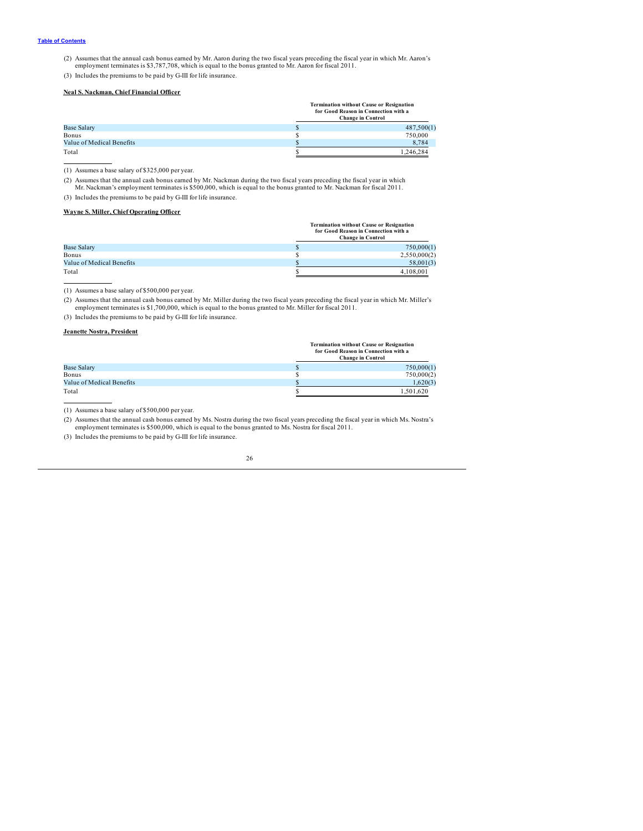(2) Assumes that the annual cash bonus earned by Mr. Aaron during the two fiscal years preceding the fiscal year in which Mr. Aaron's employment terminates is \$3,787,708, which is equal to the bonus granted to Mr. Aaron fo

(3) Includes the premiums to be paid by G-III for life insurance.

## **Neal S. Nackman, Chief Financial Officer**

|                           | <b>Termination without Cause or Resignation</b><br>for Good Reason in Connection with a<br><b>Change in Control</b> |
|---------------------------|---------------------------------------------------------------------------------------------------------------------|
| <b>Base Salary</b>        | 487,500(1)                                                                                                          |
| Bonus                     | 750,000                                                                                                             |
| Value of Medical Benefits | 8,784                                                                                                               |
| Total                     | 1.246.284                                                                                                           |

(1) Assumes a base salary of \$325,000 per year.

(2) Assumes that the annual cash bonus earned by Mr. Nackman during the two fiscal years preceding the fiscal year in which Mr. Nackman's employment terminates is \$500,000, which is equal to the bonus granted to Mr. Nackma

(3) Includes the premiums to be paid by G-III for life insurance.

## **Wayne S. Miller, Chief Operating Officer**

| <b>Termination without Cause or Resignation</b> |
|-------------------------------------------------|
| for Good Reason in Connection with a            |
| <b>Change in Control</b>                        |

|                           | Change in Control |
|---------------------------|-------------------|
| <b>Base Salary</b>        | 750,000(1)        |
| Bonus                     | 2,550,000(2)      |
| Value of Medical Benefits | 58,001(3)         |
| Total                     | 4.108.001         |

(1) Assumes a base salary of \$500,000 per year.

(2) Assumes that the annual cash bonus earned by Mr. Miller during the two fiscal years preceding the fiscal year in which Mr. Miller's employment terminates is \$1,700,000, which is equal to the bonus granted to Mr. Miller for fiscal 2011.

(3) Includes the premiums to be paid by G-III for life insurance.

## **Jeanette Nostra, President**

|                           | <b>Termination without Cause or Resignation</b><br>for Good Reason in Connection with a<br><b>Change in Control</b> |  |  |
|---------------------------|---------------------------------------------------------------------------------------------------------------------|--|--|
| <b>Base Salary</b>        | 750,000(1)                                                                                                          |  |  |
| Bonus                     | 750,000(2)                                                                                                          |  |  |
| Value of Medical Benefits | 1,620(3)                                                                                                            |  |  |
| Total                     | 1.501.620                                                                                                           |  |  |

(1) Assumes a base salary of \$500,000 per year.

(2) Assumes that the annual cash bonus earned by Ms. Nostra during the two fiscal years preceding the fiscal year in which Ms. Nostra's employment terminates is \$500,000, which is equal to the bonus granted to Ms. Nostra f

(3) Includes the premiums to be paid by G-III for life insurance.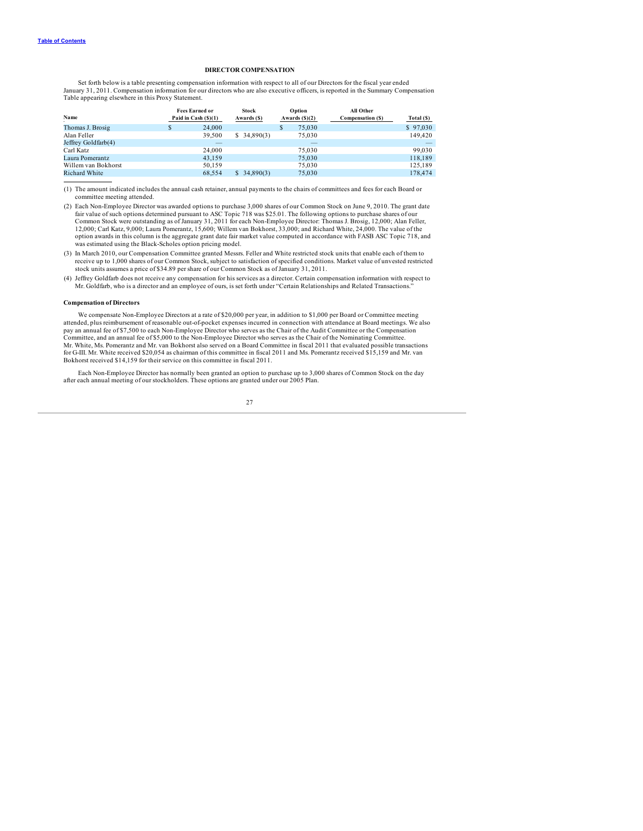### **DIRECTOR COMPENSATION**

<span id="page-29-0"></span>Set forth below is a table presenting compensation information with respect to all of our Directors for the fiscal year ended January 31, 2011. Compensation information for our directors who are also executive officers, is reported in the Summary Compensation Table appearing elsewhere in this Proxy Statement.

| Name                 |   | <b>Fees Earned or</b><br>Paid in Cash $(S)(1)$ | <b>Stock</b><br>Awards (\$) |   | Option<br>Awards $(\text{S})(2)$ | All Other<br>Compensation (\$) | Total (\$)               |
|----------------------|---|------------------------------------------------|-----------------------------|---|----------------------------------|--------------------------------|--------------------------|
| Thomas J. Brosig     | ъ | 24,000                                         |                             | S | 75,030                           |                                | \$97.030                 |
| Alan Feller          |   | 39,500                                         | \$34,890(3)                 |   | 75,030                           |                                | 149,420                  |
| Jeffrey Goldfarb(4)  |   | _                                              |                             |   | $\overline{\phantom{a}}$         |                                | $\overline{\phantom{a}}$ |
| Carl Katz            |   | 24,000                                         |                             |   | 75.030                           |                                | 99,030                   |
| Laura Pomerantz      |   | 43.159                                         |                             |   | 75,030                           |                                | 118,189                  |
| Willem van Bokhorst  |   | 50.159                                         |                             |   | 75,030                           |                                | 125.189                  |
| <b>Richard White</b> |   | 68.554                                         | \$34,890(3)                 |   | 75,030                           |                                | 178,474                  |

(1) The amount indicated includes the annual cash retainer, annual payments to the chairs of committees and fees for each Board or committee meeting attended.

- (2) Each Non-Employee Director was awarded options to purchase 3,000 shares of our Common Stock on June 9, 2010. The grant date<br>fair value of such options determined pursuant to ASC Topic 718 was \$25.01. The following opti 12,000; Carl Katz, 9,000; Laura Pomerantz, 15,600; Willem van Bokhorst, 33,000; and Richard White, 24,000. The value of the option awards in this column is the aggregate grant date fair market value computed in accordance with FASB ASC Topic 718, and was estimated using the Black-Scholes option pricing model.
- (3) In March 2010, our Compensation Committee granted Messrs. Feller and White restricted stock units that enable each of them to receive up to 1,000 shares of our Common Stock, subject to satisfaction of specified conditions. Market value of unvested restricted stock units assumes a price of \$34.89 per share of our Common Stock as of January 31, 2011.
- (4) Jeffrey Goldfarb does not receive any compensation for his services as a director. Certain compensation information with respect to Mr. Goldfarb, who is a director and an employee of ours, is set forth under "Certain Relationships and Related Transactions."

## **Compensation of Directors**

We compensate Non-Employee Directors at a rate of \$20,000 per year, in addition to \$1,000 per Board or Committee meeting attended, plus reimbursement of reasonable out-of-pocket expenses incurred in connection with attendance at Board meetings. We also<br>pay an annual fee of \$7,500 to each Non-Employee Director who serves as the Chair of the A Committee, and an annual fee of \$5,000 to the Non-Employee Director who serves as the Chair of the Nominating Committee. Mr. White, Ms. Pomerantz and Mr. van Bokhorst also served on a Board Committee in fiscal 2011 that evaluated possible transactions<br>for G-III. Mr. White received \$20,054 as chairman of this committee in fiscal 2011 and Ms. Bokhorst received \$14,159 for their service on this committee in fiscal 2011.

Each Non-Employee Director has normally been granted an option to purchase up to 3,000 shares of Common Stock on the day after each annual meeting of our stockholders. These options are granted under our 2005 Plan.

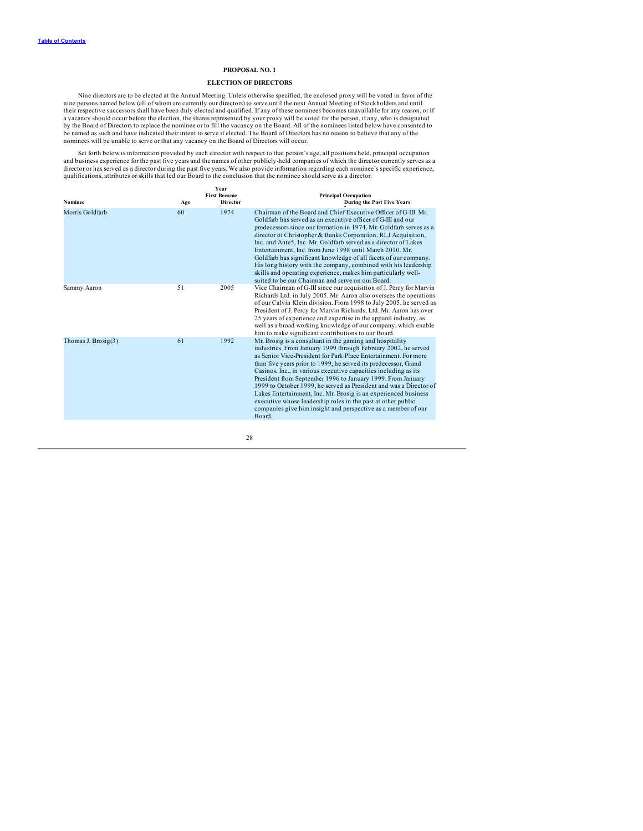## **PROPOSAL NO. 1**

## **ELECTION OF DIRECTORS**

<span id="page-30-0"></span>Nine directors are to be elected at the Annual Meeting. Unless otherwise specified, the enclosed proxy will be voted in favor of the<br>nine persons named below (all of whom are currently our directors) to serve until the nex a vacancy should occur before the election, the shares represented by your proxy will be voted for the person, if any, who is designated<br>by the Board of Directors to replace the nominee or to fill the vacancy on the Board. nominees will be unable to serve or that any vacancy on the Board of Directors will occur.

Set forth below is information provided by each director with respect to that person's age, all positions held, principal occupation<br>and business experience for the past five years and the names of other publicly-held comp director or has served as a director during the past five years. We also provide information regarding each nominee's specific experience, qualifications, attributes or skills that led our Board to the conclusion that the nominee should serve as a director.

| <b>Nominee</b>         | Age | <b>Year</b><br><b>First Became</b><br><b>Director</b> | <b>Principal Occupation</b><br><b>During the Past Five Years</b>                                                                                                                                                                                                                                                                                                                                                                                                                                                                                                                                                                                                                       |
|------------------------|-----|-------------------------------------------------------|----------------------------------------------------------------------------------------------------------------------------------------------------------------------------------------------------------------------------------------------------------------------------------------------------------------------------------------------------------------------------------------------------------------------------------------------------------------------------------------------------------------------------------------------------------------------------------------------------------------------------------------------------------------------------------------|
| Morris Goldfarb        | 60  | 1974                                                  | Chairman of the Board and Chief Executive Officer of G-III. Mr.<br>Goldfarb has served as an executive officer of G-III and our<br>predecessors since our formation in 1974. Mr. Goldfarb serves as a<br>director of Christopher & Banks Corporation, RLJ Acquisition,<br>Inc. and Ante5, Inc. Mr. Goldfarb served as a director of Lakes<br>Entertainment, Inc. from June 1998 until March 2010, Mr.<br>Goldfarb has significant knowledge of all facets of our company.<br>His long history with the company, combined with his leadership<br>skills and operating experience, makes him particularly well-<br>suited to be our Chairman and serve on our Board.                     |
| Sammy Aaron            | 51  | 2005                                                  | Vice Chairman of G-III since our acquisition of J. Percy for Marvin<br>Richards Ltd. in July 2005. Mr. Aaron also oversees the operations<br>of our Calvin Klein division. From 1998 to July 2005, he served as<br>President of J. Percy for Marvin Richards, Ltd. Mr. Aaron has over<br>25 years of experience and expertise in the apparel industry, as<br>well as a broad working knowledge of our company, which enable<br>him to make significant contributions to our Board.                                                                                                                                                                                                     |
| Thomas J. Brosig $(3)$ | 61  | 1992                                                  | Mr. Brosig is a consultant in the gaming and hospitality<br>industries. From January 1999 through February 2002, he served<br>as Senior Vice-President for Park Place Entertainment. For more<br>than five years prior to 1999, he served its predecessor, Grand<br>Casinos, Inc., in various executive capacities including as its<br>President from September 1996 to January 1999. From January<br>1999 to October 1999, he served as President and was a Director of<br>Lakes Entertainment, Inc. Mr. Brosig is an experienced business<br>executive whose leadership roles in the past at other public<br>companies give him insight and perspective as a member of our<br>Board. |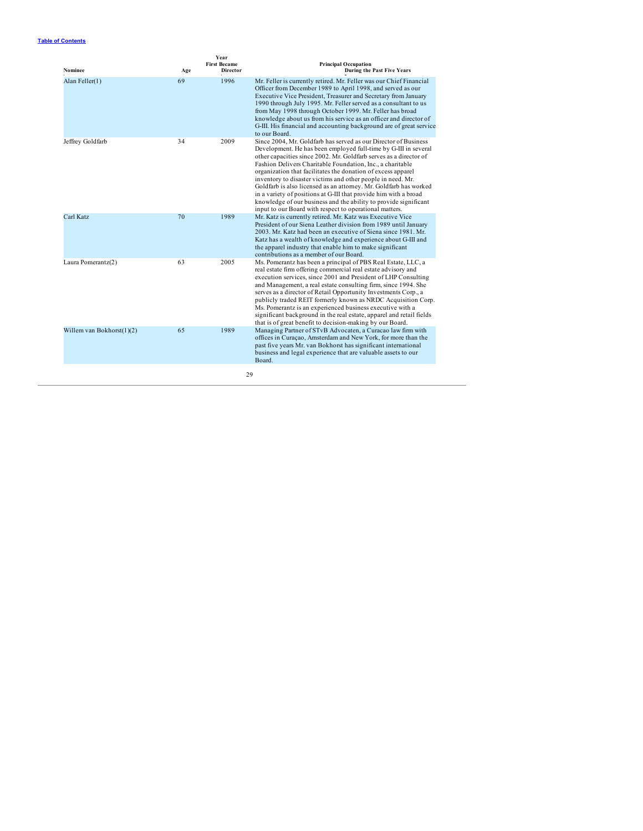| Nominee                      | Age | <b>Year</b><br><b>First Became</b><br><b>Director</b> | <b>Principal Occupation</b><br><b>During the Past Five Years</b>                                                                                                                                                                                                                                                                                                                                                                                                                                                                                                                                                                                                             |
|------------------------------|-----|-------------------------------------------------------|------------------------------------------------------------------------------------------------------------------------------------------------------------------------------------------------------------------------------------------------------------------------------------------------------------------------------------------------------------------------------------------------------------------------------------------------------------------------------------------------------------------------------------------------------------------------------------------------------------------------------------------------------------------------------|
| Alan Feller(1)               | 69  | 1996                                                  | Mr. Feller is currently retired. Mr. Feller was our Chief Financial<br>Officer from December 1989 to April 1998, and served as our<br>Executive Vice President, Treasurer and Secretary from January<br>1990 through July 1995. Mr. Feller served as a consultant to us<br>from May 1998 through October 1999. Mr. Feller has broad<br>knowledge about us from his service as an officer and director of<br>G-III. His financial and accounting background are of great service<br>to our Board.                                                                                                                                                                             |
| Jeffrey Goldfarb             | 34  | 2009                                                  | Since 2004, Mr. Goldfarb has served as our Director of Business<br>Development. He has been employed full-time by G-III in several<br>other capacities since 2002. Mr. Goldfarb serves as a director of<br>Fashion Delivers Charitable Foundation, Inc., a charitable<br>organization that facilitates the donation of excess apparel<br>inventory to disaster victims and other people in need. Mr.<br>Goldfarb is also licensed as an attorney. Mr. Goldfarb has worked<br>in a variety of positions at G-III that provide him with a broad<br>knowledge of our business and the ability to provide significant<br>input to our Board with respect to operational matters. |
| Carl Katz                    | 70  | 1989                                                  | Mr. Katz is currently retired. Mr. Katz was Executive Vice<br>President of our Siena Leather division from 1989 until January<br>2003. Mr. Katz had been an executive of Siena since 1981. Mr.<br>Katz has a wealth of knowledge and experience about G-III and<br>the apparel industry that enable him to make significant<br>contributions as a member of our Board.                                                                                                                                                                                                                                                                                                       |
| Laura Pomerantz(2)           | 63  | 2005                                                  | Ms. Pomerantz has been a principal of PBS Real Estate, LLC, a<br>real estate firm offering commercial real estate advisory and<br>execution services, since 2001 and President of LHP Consulting<br>and Management, a real estate consulting firm, since 1994. She<br>serves as a director of Retail Opportunity Investments Corp., a<br>publicly traded REIT formerly known as NRDC Acquisition Corp.<br>Ms. Pomerantz is an experienced business executive with a<br>significant background in the real estate, apparel and retail fields<br>that is of great benefit to decision-making by our Board.                                                                     |
| Willem van Bokhorst $(1)(2)$ | 65  | 1989                                                  | Managing Partner of STvB Advocaten, a Curacao law firm with<br>offices in Curaçao, Amsterdam and New York, for more than the<br>past five years Mr. van Bokhorst has significant international<br>business and legal experience that are valuable assets to our<br>Board.                                                                                                                                                                                                                                                                                                                                                                                                    |
|                              |     | 29                                                    |                                                                                                                                                                                                                                                                                                                                                                                                                                                                                                                                                                                                                                                                              |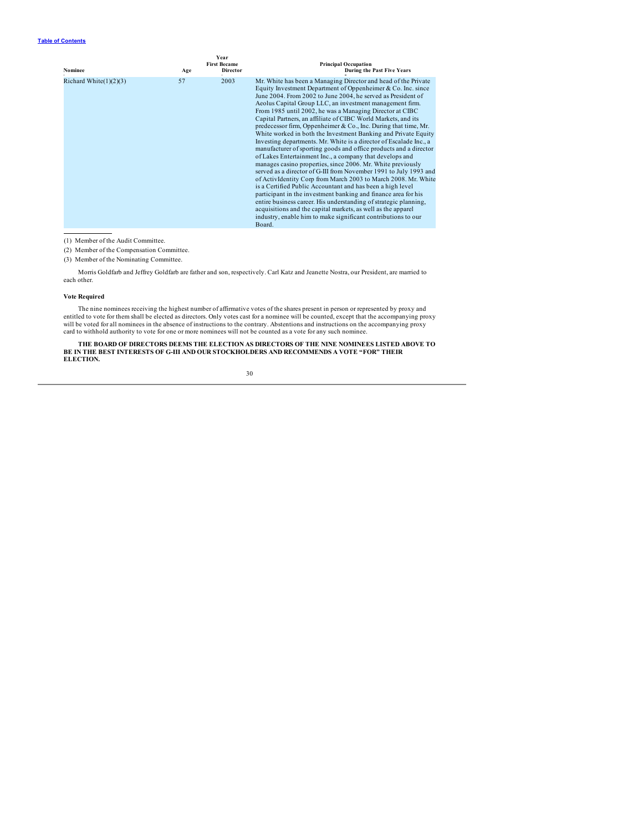| Nominee                   | Age | <b>Year</b><br><b>First Became</b><br><b>Director</b> | <b>Principal Occupation</b><br><b>During the Past Five Years</b>                                                                                                                                                                                                                                                                                                                                                                                                                                                                                                                                                                                                                                                                                                                                                                                                                                                                                                                                                                                                                                                                                                                                                                                                                         |
|---------------------------|-----|-------------------------------------------------------|------------------------------------------------------------------------------------------------------------------------------------------------------------------------------------------------------------------------------------------------------------------------------------------------------------------------------------------------------------------------------------------------------------------------------------------------------------------------------------------------------------------------------------------------------------------------------------------------------------------------------------------------------------------------------------------------------------------------------------------------------------------------------------------------------------------------------------------------------------------------------------------------------------------------------------------------------------------------------------------------------------------------------------------------------------------------------------------------------------------------------------------------------------------------------------------------------------------------------------------------------------------------------------------|
| Richard White $(1)(2)(3)$ | 57  | 2003                                                  | Mr. White has been a Managing Director and head of the Private<br>Equity Investment Department of Oppenheimer & Co. Inc. since<br>June 2004. From 2002 to June 2004, he served as President of<br>Aeolus Capital Group LLC, an investment management firm.<br>From 1985 until 2002, he was a Managing Director at CIBC<br>Capital Partners, an affiliate of CIBC World Markets, and its<br>predecessor firm, Oppenheimer & Co., Inc. During that time, Mr.<br>White worked in both the Investment Banking and Private Equity<br>Investing departments. Mr. White is a director of Escalade Inc., a<br>manufacturer of sporting goods and office products and a director<br>of Lakes Entertainment Inc., a company that develops and<br>manages casino properties, since 2006. Mr. White previously<br>served as a director of G-III from November 1991 to July 1993 and<br>of ActivIdentity Corp from March 2003 to March 2008. Mr. White<br>is a Certified Public Accountant and has been a high level<br>participant in the investment banking and finance area for his<br>entire business career. His understanding of strategic planning,<br>acquisitions and the capital markets, as well as the apparel<br>industry, enable him to make significant contributions to our<br>Board. |

(1) Member of the Audit Committee.

- (2) Member of the Compensation Committee.
- (3) Member of the Nominating Committee.

Morris Goldfarb and Jeffrey Goldfarb are father and son, respectively. Carl Katz and Jeanette Nostra, our President, are married to each other.

## **Vote Required**

The nine nominees receiving the highest number of affirmative votes of the shares present in person or represented by proxy and<br>entitled to vote for them shall be elected as directors. Only votes cast for a nominee will be

**THE BOARD OF DIRECTORS DEEMS THE ELECTION AS DIRECTORS OF THE NINE NOMINEES LISTED ABOVE TO BE IN THE BEST INTERESTS OF G-III AND OUR STOCKHOLDERS AND RECOMMENDS A VOTE "FOR" THEIR ELECTION.**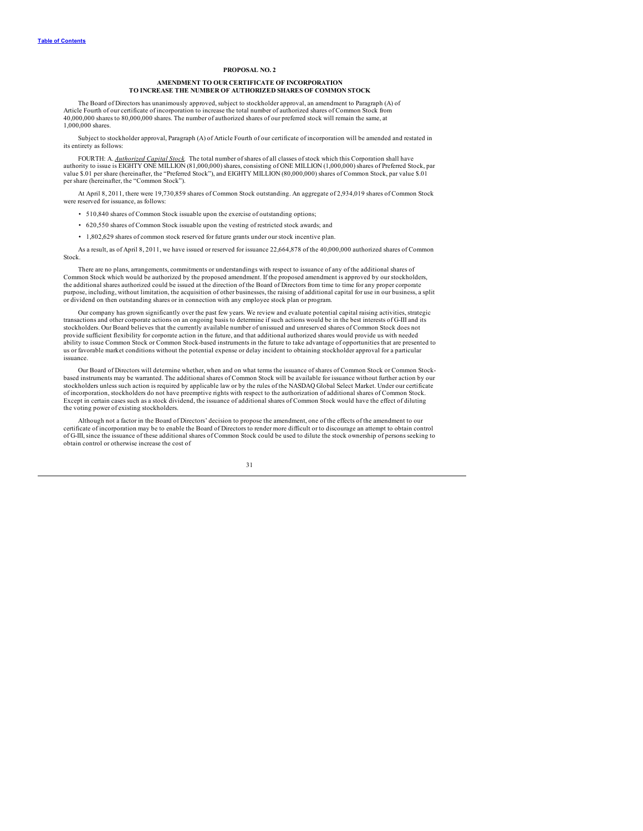## **PROPOSAL NO. 2**

## **AMENDMENT TO OUR CERTIFICATE OF INCORPORATION TO INCREASE THE NUMBER OF AUTHORIZED SHARES OF COMMON STOCK**

<span id="page-33-0"></span>The Board of Directors has unanimously approved, subject to stockholder approval, an amendment to Paragraph (A) of Article Fourth of our certificate of incorporation to increase the total number of authorized shares of Common Stock from 40,000,000 shares to 80,000,000 shares. The number of authorized shares of our preferred stock will remain the same, at 1,000,000 shares.

Subject to stockholder approval, Paragraph (A) of Article Fourth of our certificate of incorporation will be amended and restated in its entirety as follows:

FOURTH: A. *Authorized Capital Stock.* The total number of shares of all classes of stock which this Corporation shall have authority to issue is EIGHTY ONE MILLION (81,000,000) shares, consisting of ONE MILLION (1,000,000) shares of Preferred Stock, par<br>value \$.01 per share (hereinafter, the "Preferred Stock"), and EIGHTY MILLION (80,000,000) per share (hereinafter, the "Common Stock").

At April 8, 2011, there were 19,730,859 shares of Common Stock outstanding. An aggregate of 2,934,019 shares of Common Stock were reserved for issuance, as follows:

- 510,840 shares of Common Stock issuable upon the exercise of outstanding options;
- 620,550 shares of Common Stock issuable upon the vesting of restricted stock awards; and
- 1,802,629 shares of common stock reserved for future grants under our stock incentive plan.

As a result, as of April 8, 2011, we have issued or reserved for issuance 22,664,878 of the 40,000,000 authorized shares of Common Stock.

There are no plans, arrangements, commitments or understandings with respect to issuance of any of the additional shares of Common Stock which would be authorized by the proposed amendment. If the proposed amendment is approved by our stockholders, the additional shares authorized could be issued at the direction of the Board of Directors from time to time for any proper corporate purpose, including, without limitation, the acquisition of other businesses, the raising of additional capital for use in our business, a split or dividend on then outstanding shares or in connection with any employee stock plan or program.

Our company has grown significantly over the past few years. We review and evaluate potential capital raising activities, strategic transactions and other corporate actions on an ongoing basis to determine if such actions would be in the best interests of G-III and its<br>stockholders. Our Board believes that the currently available number of unissued and provide sufficient flexibility for corporate action in the future, and that additional authorized shares would provide us with needed ability to issue Common Stock or Common Stock-based instruments in the future to take advantage of opportunities that are presented to us or favorable market conditions without the potential expense or delay incident to obtaining stockholder approval for a particular issuance.

Our Board of Directors will determine whether, when and on what terms the issuance of shares of Common Stock or Common Stockbased instruments may be warranted. The additional shares of Common Stock will be available for issuance without further action by our stockholders unless such action is required by applicable law or by the rules of the NASDAQ Global Select Market. Under our certificate of incorporation, stockholders do not have preemptive rights with respect to the authorization of additional shares of Common Stock. Except in certain cases such as a stock dividend, the issuance of additional shares of Common Stock would have the effect of diluting the voting power of existing stockholders.

Although not a factor in the Board of Directors' decision to propose the amendment, one of the effects of the amendment to our certificate of incorporation may be to enable the Board of Directors to render more difficult or to discourage an attempt to obtain control of G-III, since the issuance of these additional shares of Common Stock could be used to dilute the stock ownership of persons seeking to obtain control or otherwise increase the cost of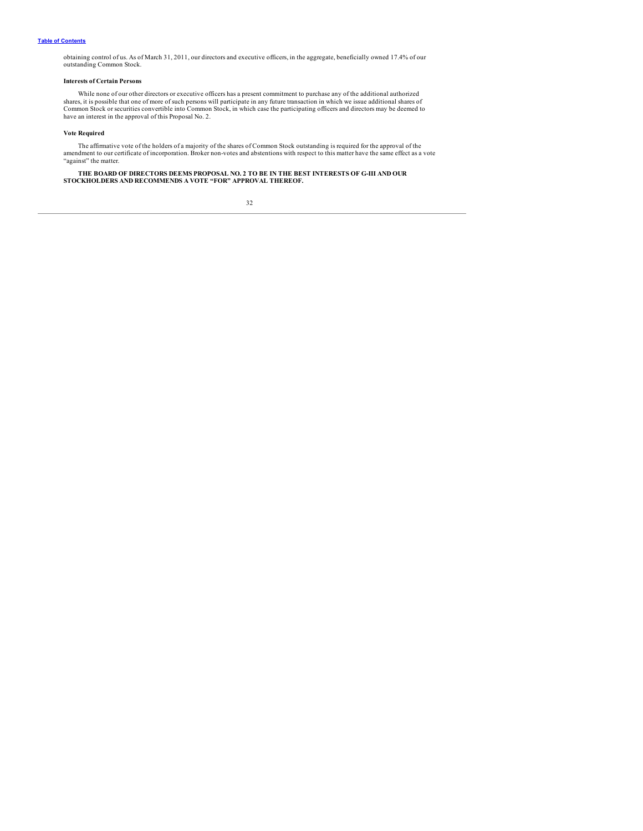obtaining control of us. As of March 31, 2011, our directors and executive officers, in the aggregate, beneficially owned 17.4% of our outstanding Common Stock.

## **Interests of Certain Persons**

While none of our other directors or executive officers has a present commitment to purchase any of the additional authorized shares, it is possible that one of more of such persons will participate in any future transaction in which we issue additional shares of<br>Common Stock or securities convertible into Common Stock, in which case the particip have an interest in the approval of this Proposal No. 2.

## **Vote Required**

The affirmative vote of the holders of a majority of the shares of Common Stock outstanding is required for the approval of the<br>amendment to our certificate of incorporation. Broker non-votes and abstentions with respect t

THE BOARD OF DIRECTORS DEEMS PROPOSAL NO. 2 TO BE IN THE BEST INTERESTS OF G-III AND OUR<br>STOCKHOLDERS AND RECOMMENDS A VOTE "FOR" APPROVAL THEREOF.

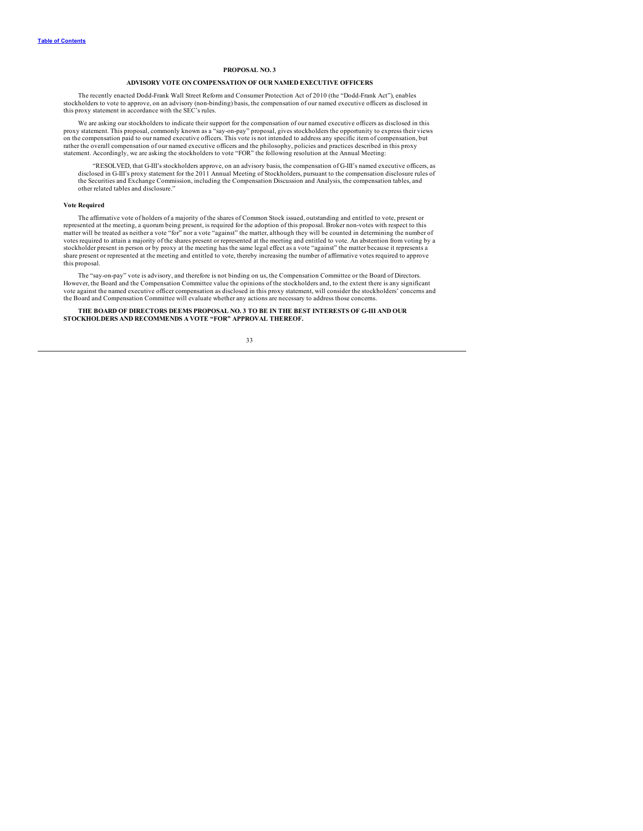## **PROPOSAL NO. 3**

## **ADVISORY VOTE ON COMPENSATION OF OUR NAMED EXECUTIVE OFFICERS**

<span id="page-35-0"></span>The recently enacted Dodd-Frank Wall Street Reform and Consumer Protection Act of 2010 (the "Dodd-Frank Act"), enables stockholders to vote to approve, on an advisory (non-binding) basis, the compensation of our named executive officers as disclosed in this proxy statement in accordance with the SEC's rules.

We are asking our stockholders to indicate their support for the compensation of our named executive officers as disclosed in this proxy statement. This proposal, commonly known as a "say-on-pay" proposal, gives stockholders the opportunity to express their views<br>on the compensation paid to our named executive officers. This vote is not intended to ad rather the overall compensation of our named executive officers and the philosophy, policies and practices described in this proxy<br>statement. Accordingly, we are asking the stockholders to vote "FOR" the following resoluti

"RESOLVED, that G-III's stockholders approve, on an advisory basis, the compensation of G-III's named executive officers, as disclosed in G-III's proxy statement for the 2011 Annual Meeting of Stockholders, pursuant to the compensation disclosure rules of the Securities and Exchange Commission, including the Compensation Discussion and Analysis, the compensation tables, and other related tables and disclosure."

## **Vote Required**

The affirmative vote of holders of a majority of the shares of Common Stock issued, outstanding and entitled to vote, present or represented at the meeting, a quorum being present, is required for the adoption of this prop matter will be treated as neither a vote "for" nor a vote "against" the matter, although they will be counted in determining the number of votes required to attain a majority of the shares present or represented at the meeting and entitled to vote. An abstention from voting by a stockholder present in person or by proxy at the meeting has the same legal effect as a vote "against" the matter because it represents a share present or represented at the meeting and entitled to vote, thereby increasing the number of affirmative votes required to approve this proposal.

The "say-on-pay" vote is advisory, and therefore is not binding on us, the Compensation Committee or the Board of Directors. However, the Board and the Compensation Committee value the opinions of the stockholders and, to the extent there is any significant<br>vote against the named executive officer compensation as disclosed in this proxy statemen the Board and Compensation Committee will evaluate whether any actions are necessary to address those concerns.

**THE BOARD OF DIRECTORS DEEMS PROPOSAL NO. 3 TO BE IN THE BEST INTERESTS OF G-III AND OUR STOCKHOLDERS AND RECOMMENDS A VOTE "FOR" APPROVAL THEREOF.**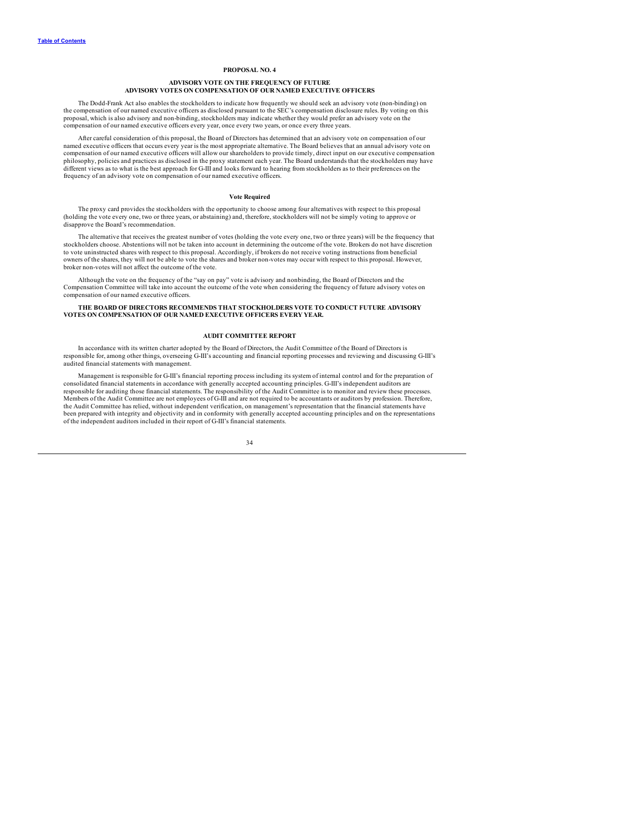## **PROPOSAL NO. 4**

## **ADVISORY VOTE ON THE FREQUENCY OF FUTURE ADVISORY VOTES ON COMPENSATION OF OUR NAMED EXECUTIVE OFFICERS**

<span id="page-36-0"></span>The Dodd-Frank Act also enables the stockholders to indicate how frequently we should seek an advisory vote (non-binding) on the compensation of our named executive officers as disclosed pursuant to the SEC's compensation disclosure rules. By voting on this proposal, which is also advisory and non-binding, stockholders may indicate whether they would prefer an advisory vote on the compensation of our named executive officers every year, once every two years, or once every three years.

After careful consideration of this proposal, the Board of Directors has determined that an advisory vote on compensation of our named executive officers that occurs every year is the most appropriate alternative. The Board believes that an annual advisory vote on compensation of our named executive officers will allow our shareholders to provide timely, direct input on our executive compensation<br>philosophy, policies and practices as disclosed in the proxy statement each year. The B different views as to what is the best approach for G-III and looks forward to hearing from stockholders as to their preferences on the frequency of an advisory vote on compensation of our named executive officers.

## **Vote Required**

The proxy card provides the stockholders with the opportunity to choose among four alternatives with respect to this proposal<br>(holding the vote every one, two or three years, or abstaining) and, therefore, stockholders wil disapprove the Board's recommendation.

The alternative that receives the greatest number of votes (holding the vote every one, two or three years) will be the frequency that stockholders choose. Abstentions will not be taken into account in determining the outcome of the vote. Brokers do not have discretion<br>to vote uninstructed shares with respect to this proposal. Accordingly, if brokers do n owners of the shares, they will not be able to vote the shares and broker non-votes may occur with respect to this proposal. However, broker non-votes will not affect the outcome of the vote.

Although the vote on the frequency of the "say on pay" vote is advisory and nonbinding, the Board of Directors and the Compensation Committee will take into account the outcome of the vote when considering the frequency of future advisory votes on compensation of our named executive officers.

#### **THE BOARD OF DIRECTORS RECOMMENDS THAT STOCKHOLDERS VOTE TO CONDUCT FUTURE ADVISORY VOTES ON COMPENSATION OF OUR NAMED EXECUTIVE OFFICERS EVERY YEAR.**

## **AUDIT COMMITTEE REPORT**

In accordance with its written charter adopted by the Board of Directors, the Audit Committee of the Board of Directors is responsible for, among other things, overseeing G-III's accounting and financial reporting processes and reviewing and discussing G-III's audited financial statements with management.

Management is responsible for G-III's financial reporting process including its system of internal control and for the preparation of consolidated financial statements in accordance with generally accepted accounting principles. G-III's independent auditors are<br>responsible for auditing those financial statements. The responsibility of the Audit Committee Members of the Audit Committee are not employees of G-III and are not required to be accountants or auditors by profession. Therefore, the Audit Committee has relied, without independent verification, on management's representation that the financial statements have been prepared with integrity and objectivity and in conformity with generally accepted accounting principles and on the representations of the independent auditors included in their report of G-III's financial statements.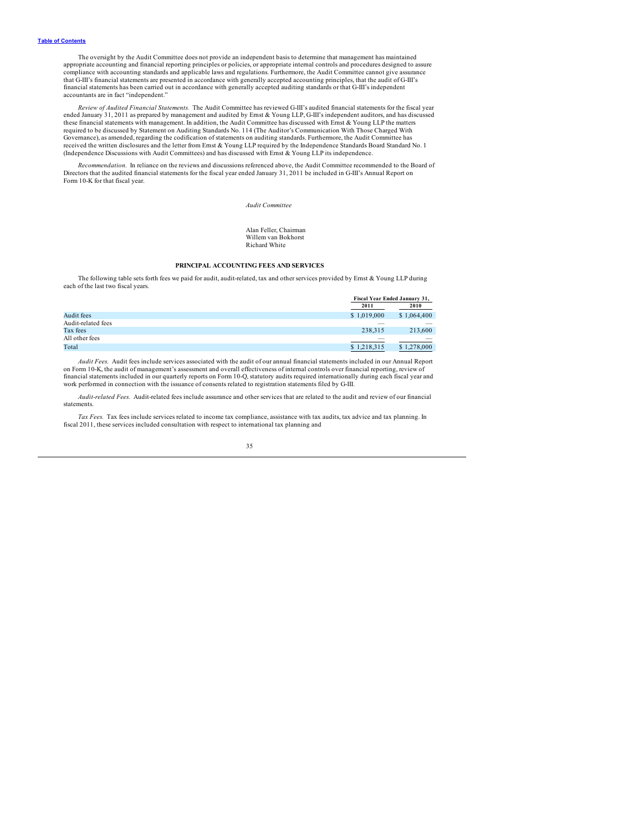<span id="page-37-0"></span>The oversight by the Audit Committee does not provide an independent basis to determine that management has maintained appropriate accounting and financial reporting principles or policies, or appropriate internal controls and procedures designed to assure<br>compliance with accounting standards and applicable laws and regulations. Furthermor that G-III's financial statements are presented in accordance with generally accepted accounting principles, that the audit of G-III's financial statements has been carried out in accordance with generally accepted auditing standards or that G-III's independent accountants are in fact "independent."

*Review of Audited Financial Statements.* The Audit Committee has reviewed G-III's audited financial statements for the fiscal year ended January 31, 2011 as prepared by management and audited by Emst & Young LLP, G-III's independent auditors, and has discussed<br>these financial statements with management. In addition, the Audit Committee has discussed w required to be discussed by Statement on Auditing Standards No. 114 (The Auditor's Communication With Those Charged With Governance), as amended, regarding the codification of statements on auditing standards. Furthermore, the Audit Committee has received the written disclosures and the letter from Emst & Young LLP required by the Independence Standards Board Standard No. 1<br>(Independence Discussions with Audit Committees) and has discussed with Emst & Young LLP its

*Recommendation.* In reliance on the reviews and discussions referenced above, the Audit Committee recommended to the Board of Directors that the audited financial statements for the fiscal year ended January 31, 2011 be included in G-III's Annual Report on Form 10-K for that fiscal year.

*Audit Committee*

Alan Feller, Chairman Willem van Bokhorst Richard White

## **PRINCIPAL ACCOUNTING FEES AND SERVICES**

The following table sets forth fees we paid for audit, audit-related, tax and other services provided by Ernst & Young LLP during each of the last two fiscal years.

| Fiscal Year Ended January 31, |                                                                                                                                                                                                                                                                                                                                                                                                                                                                            |  |
|-------------------------------|----------------------------------------------------------------------------------------------------------------------------------------------------------------------------------------------------------------------------------------------------------------------------------------------------------------------------------------------------------------------------------------------------------------------------------------------------------------------------|--|
| 2011                          | 2010                                                                                                                                                                                                                                                                                                                                                                                                                                                                       |  |
| \$1,019,000                   | \$1,064,400                                                                                                                                                                                                                                                                                                                                                                                                                                                                |  |
|                               |                                                                                                                                                                                                                                                                                                                                                                                                                                                                            |  |
| 238.315                       | 213,600                                                                                                                                                                                                                                                                                                                                                                                                                                                                    |  |
| $\overline{\phantom{a}}$      | $\frac{1}{2} \left( \frac{1}{2} \right) \left( \frac{1}{2} \right) \left( \frac{1}{2} \right) \left( \frac{1}{2} \right) \left( \frac{1}{2} \right) \left( \frac{1}{2} \right) \left( \frac{1}{2} \right) \left( \frac{1}{2} \right) \left( \frac{1}{2} \right) \left( \frac{1}{2} \right) \left( \frac{1}{2} \right) \left( \frac{1}{2} \right) \left( \frac{1}{2} \right) \left( \frac{1}{2} \right) \left( \frac{1}{2} \right) \left( \frac{1}{2} \right) \left( \frac$ |  |
| \$1,218,315                   | \$1,278,000                                                                                                                                                                                                                                                                                                                                                                                                                                                                |  |
|                               |                                                                                                                                                                                                                                                                                                                                                                                                                                                                            |  |

*Audit Fees.* Audit fees include services associated with the audit of our annual financial statements included in our Annual Report on Form 10-K, the audit of management's assessment and overall effectiveness of internal controls over financial reporting, review of financial statements included in our quarterly reports on Form 10-Q, statutory audits required internationally during each fiscal year and work performed in connection with the issuance of consents related to registration statements filed by G-III.

*Audit-related Fees.* Audit-related fees include assurance and other services that are related to the audit and review of our financial statements.

*Tax Fees.* Tax fees include services related to income tax compliance, assistance with tax audits, tax advice and tax planning. In fiscal 2011, these services included consultation with respect to international tax planning and

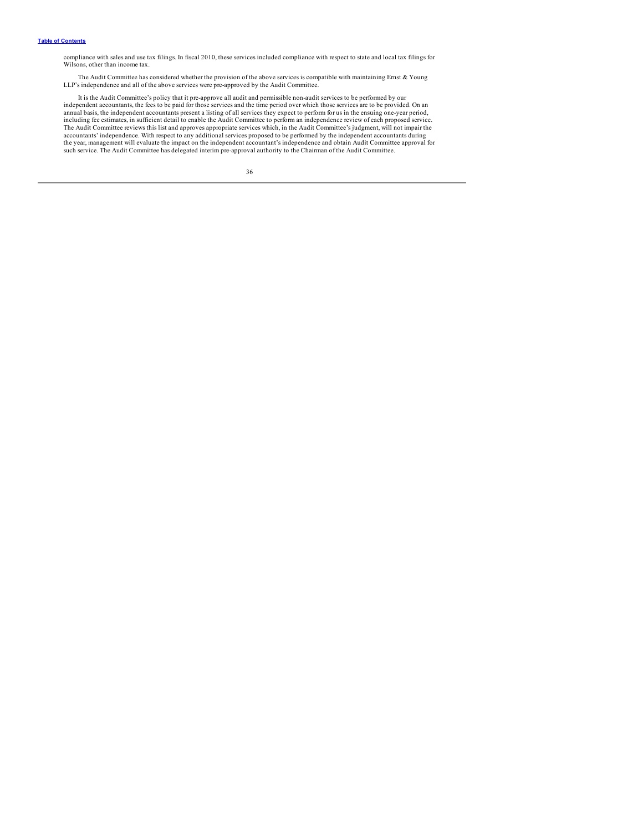compliance with sales and use tax filings. In fiscal 2010, these services included compliance with respect to state and local tax filings for Wilsons, other than income tax.

The Audit Committee has considered whether the provision of the above services is compatible with maintaining Ernst & Young LLP's independence and all of the above services were pre-approved by the Audit Committee.

It is the Audit Committee's policy that it pre-approve all audit and permissible non-audit services to be performed by our<br>independent accountants, the fees to be paid for those services and the time period over which thos including fee estimates, in sufficient detail to enable the Audit Committee to perform an independence review of each proposed service.<br>The Audit Committee reviews this list and approves appropriate services which, in the accountants' independence. With respect to any additional services proposed to be performed by the independent accountants during<br>the year, management will evaluate the impact on the independent accountant's independence a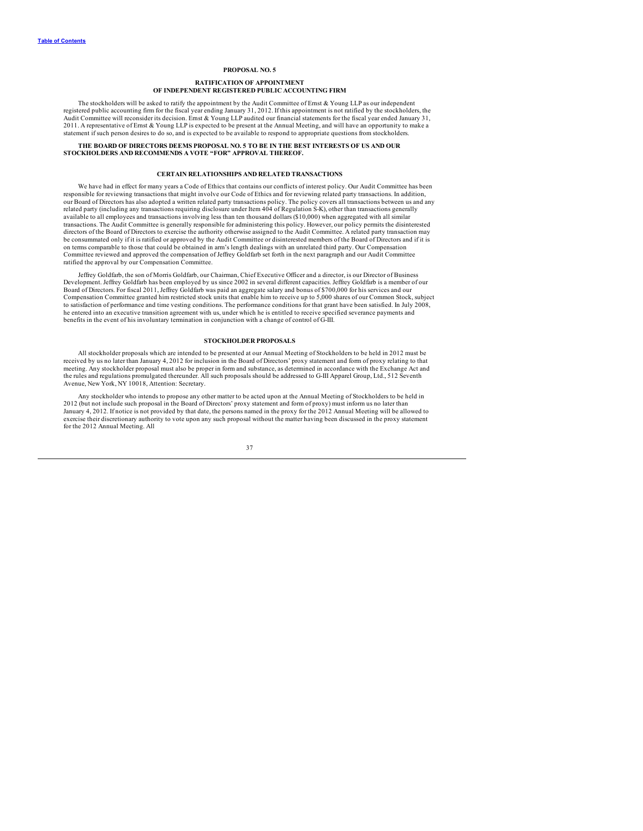### **PROPOSAL NO. 5**

#### **RATIFICATION OF APPOINTMENT OF INDEPENDENT REGISTERED PUBLIC ACCOUNTING FIRM**

<span id="page-39-0"></span>The stockholders will be asked to ratify the appointment by the Audit Committee of Ernst & Young LLP as our independent registered public accounting firm for the fiscal year ending January 31, 2012. If this appointment is not ratified by the stockholders, the Audit Committee will reconsider its decision. Ernst & Young LLP audited our financial statements for the fiscal year ended January 31, 2011. A representative of Emst & Young LLP is expected to be present at the Annual Meeting, and will have an opportunity to make a<br>statement if such person desires to do so, and is expected to be available to respond to ap

### **THE BOARD OF DIRECTORS DEEMS PROPOSAL NO. 5 TO BE IN THE BEST INTERESTS OF US AND OUR STOCKHOLDERS AND RECOMMENDS A VOTE "FOR" APPROVAL THEREOF.**

### **CERTAIN RELATIONSHIPS AND RELATED TRANSACTIONS**

We have had in effect for many years a Code of Ethics that contains our conflicts of interest policy. Our Audit Committee has been responsible for reviewing transactions that might involve our Code of Ethics and for reviewing related party transactions. In addition, our Board of Directors has also adopted a written related party transactions policy. The policy covers all transactions between us and any related party (including any transactions requiring disclosure under Item 404 of Regulation S-K), other than transactions generally available to all employees and transactions involving less than ten thousand dollars (\$10,000) when aggregated with all similar transactions. The Audit Committee is generally responsible for administering this policy. However, our policy permits the disinterested directors of the Board of Directors to exercise the authority otherwise assigned to the Audit Committee. A related party transaction may be consummated only if it is ratified or approved by the Audit Committee or disinterested members of the Board of Directors and if it is<br>on terms comparable to those that could be obtained in arm's length dealings with an Committee reviewed and approved the compensation of Jeffrey Goldfarb set forth in the next paragraph and our Audit Committee ratified the approval by our Compensation Committee.

Jeffrey Goldfarb, the son of Morris Goldfarb, our Chairman, Chief Executive Officer and a director, is our Director of Business Development. Jeffrey Goldfarb has been employed by us since 2002 in several different capacities. Jeffrey Goldfarb is a member of our Board of Directors. For fiscal 2011, Jeffrey Goldfarb was paid an aggregate salary and bonus of \$700,000 for his services and our Compensation Committee granted him restricted stock units that enable him to receive up to 5,000 shares of our Common Stock, subject to satisfaction of performance and time vesting conditions. The performance conditions for that grant have been satisfied. In July 2008, he entered into an executive transition agreement with us, under which he is entitled to receive specified severance payments and benefits in the event of his involuntary termination in conjunction with a change of control of G-III.

#### **STOCKHOLDER PROPOSALS**

All stockholder proposals which are intended to be presented at our Annual Meeting of Stockholders to be held in 2012 must be received by us no later than January 4, 2012 for inclusion in the Board of Directors' proxy stat meeting. Any stockholder proposal must also be proper in form and substance, as determined in accordance with the Exchange Act and the rules and regulations promulgated thereunder. All such proposals should be addressed to G-III Apparel Group, Ltd., 512 Seventh Avenue, New York, NY 10018, Attention: Secretary.

Any stockholder who intends to propose any other matter to be acted upon at the Annual Meeting of Stockholders to be held in 2012 (but not include such proposal in the Board of Directors' proxy statement and form of proxy) must inform us no later than<br>January 4, 2012. If notice is not provided by that date, the persons named in the proxy for the for the 2012 Annual Meeting. All

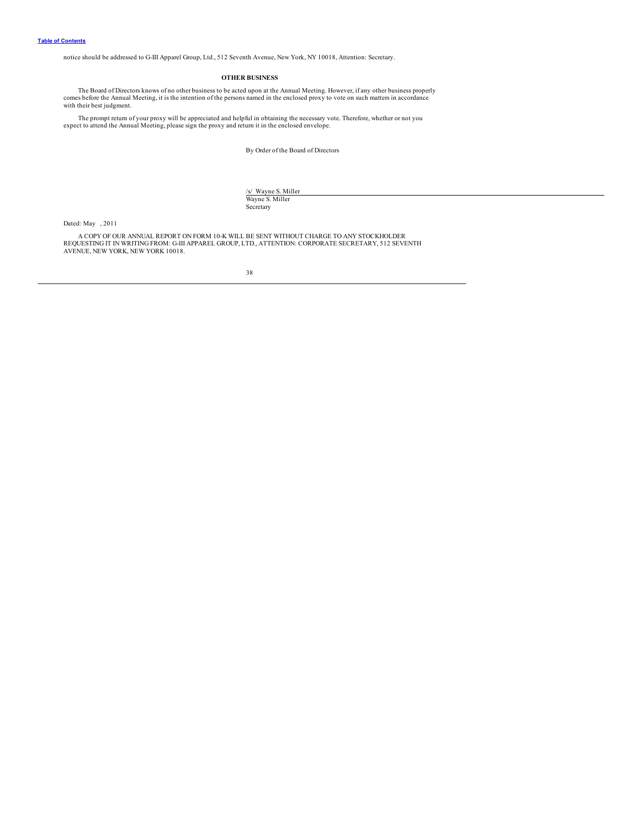<span id="page-40-0"></span>notice should be addressed to G-III Apparel Group, Ltd., 512 Seventh Avenue, New York, NY 10018, Attention: Secretary.

## **OTHER BUSINESS**

The Board of Directors knows of no other business to be acted upon at the Annual Meeting. However, if any other business properly comes before the Annual Meeting, it is the intention of the persons named in the enclosed pr with their best judgment.

The prompt return of your proxy will be appreciated and helpful in obtaining the necessary vote. Therefore, whether or not you expect to attend the Annual Meeting, please sign the proxy and return it in the enclosed envelo

By Order of the Board of Directors

/s/ Wayne S. Miller<br>Wayne S. Miller Secretary

Dated: May , 2011

A COPY OF OUR ANNUAL REPORT ON FORM 10-K WILL BE SENT WITHOUT CHARGE TO ANY STOCKHOLDER<br>REQUESTING IT IN WRITING FROM: G-III APPAREL GROUP, LTD., ATTENTION: CORPORATE SECRETARY, 512 SEVENTH<br>AVENUE, NEW YORK, NEW YORK 10018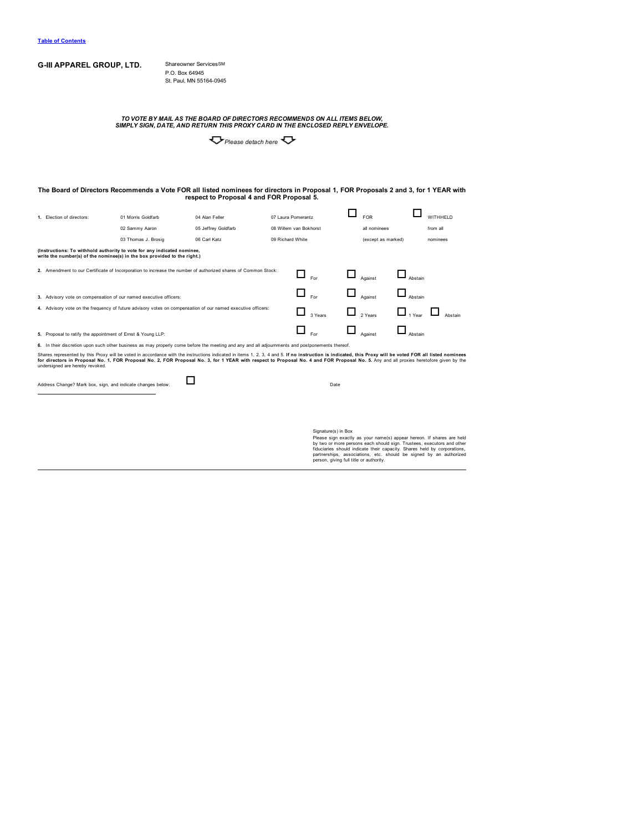## **G-III APPAREL GROUP, LTD.** Shareowner ServicesSM P.O. Box 64945

St. Paul, MN 55164-0945

TO VOTE BY MAIL AS THE BOARD OF DIRECTORS RECOMMENDS ON ALL ITEMS BELOW,<br>SIMPLY SIGN, DATE, AND RETURN THIS PROXY CARD IN THE ENCLOSED REPLY ENVELOPE.

*Please detach here*

# The Board of Directors Recommends a Vote FOR all listed nominees for directors in Proposal 1, FOR Proposals 2 and 3, for 1 YEAR with<br>respect to Proposal 4 and FOR Proposal 5.

| 1. Election of directors:                                                                                     | 01 Morris Goldfarb                                                                                                                                  | 04 Alan Feller      | 07 Laura Pomerantz |                        |  | <b>FOR</b>         |               | WITHHELD |
|---------------------------------------------------------------------------------------------------------------|-----------------------------------------------------------------------------------------------------------------------------------------------------|---------------------|--------------------|------------------------|--|--------------------|---------------|----------|
|                                                                                                               | 02 Sammy Aaron                                                                                                                                      | 05 Jeffrey Goldfarb |                    | 08 Willem van Bokhorst |  | all nominees       |               | from all |
|                                                                                                               | 03 Thomas J. Brosig                                                                                                                                 | 06 Carl Katz        | 09 Richard White   |                        |  | (except as marked) |               | nominees |
|                                                                                                               | (Instructions: To withhold authority to vote for any indicated nominee,<br>write the number(s) of the nominee(s) in the box provided to the right.) |                     |                    |                        |  |                    |               |          |
| 2. Amendment to our Certificate of Incorporation to increase the number of authorized shares of Common Stock: |                                                                                                                                                     |                     |                    | <b>For</b>             |  | Against            | Abstain       |          |
| 3. Advisory vote on compensation of our named executive officers:                                             |                                                                                                                                                     |                     |                    | ப<br><b>For</b>        |  | Against            | Abstain       |          |
| 4. Advisory vote on the frequency of future advisory votes on compensation of our named executive officers:   |                                                                                                                                                     |                     |                    | 3 Years                |  | 2 Years            | $\Box$ 1 Year | Abstain  |
| 5. Proposal to ratify the appointment of Ernst & Young LLP:                                                   |                                                                                                                                                     |                     |                    | Eor                    |  | Against            | Abstain       |          |

**6.** In their discretion upon such other business as may properly come before the meeting and any and all adjournments and postponements thereof.

Shares represented by this Proxy will be voted in accordance with the instructions indicated in its and 5. If no instruction is indicated, this Proxy will be voted FOR all listed nominees<br>for directors in Proposal No. 1, F

Address Change? Mark box, sign, and indicate changes below: **Department of Date** 

Signature(s) in Box<br>Please sign exactly as your name(s) appear hereon. If shares are held<br>by two or more persons each should sign. Trustees, executors and other<br>fiduciaries should indicate their capacity. Shares held by co